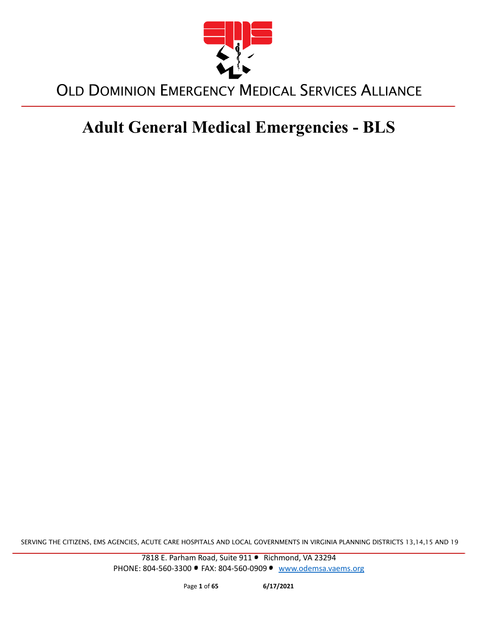

# **Adult General Medical Emergencies - BLS**

SERVING THE CITIZENS, EMS AGENCIES, ACUTE CARE HOSPITALS AND LOCAL GOVERNMENTS IN VIRGINIA PLANNING DISTRICTS 13,14,15 AND 19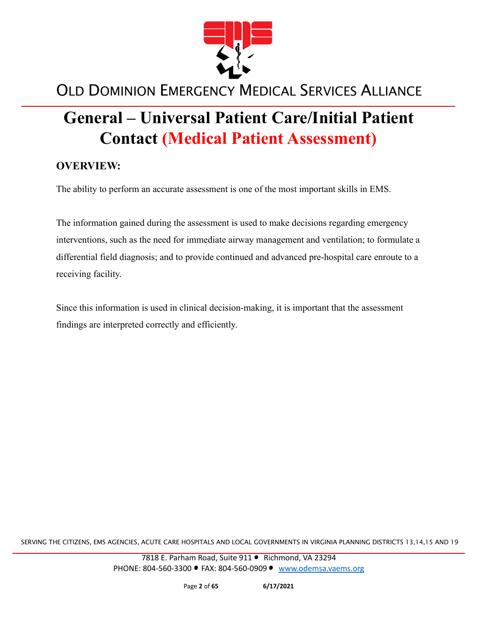

# **General – Universal Patient Care/Initial Patient Contact (Medical Patient Assessment)**

#### **OVERVIEW:**

The ability to perform an accurate assessment is one of the most important skills in EMS.

The information gained during the assessment is used to make decisions regarding emergency interventions, such as the need for immediate airway management and ventilation; to formulate a differential field diagnosis; and to provide continued and advanced pre-hospital care enroute to a receiving facility.

Since this information is used in clinical decision-making, it is important that the assessment findings are interpreted correctly and efficiently.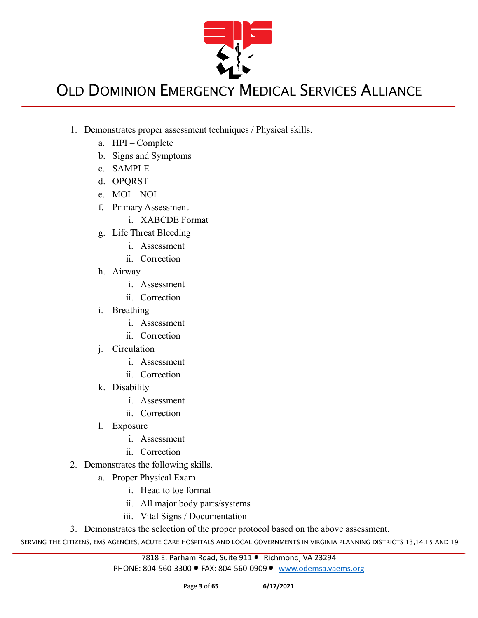

- 1. Demonstrates proper assessment techniques / Physical skills.
	- a. HPI Complete
	- b. Signs and Symptoms
	- c. SAMPLE
	- d. OPQRST
	- e. MOI NOI
	- f. Primary Assessment
		- i. XABCDE Format
	- g. Life Threat Bleeding
		- i. Assessment
		- ii. Correction
	- h. Airway
		- i. Assessment
		- ii. Correction
	- i. Breathing
		- i. Assessment
		- ii. Correction
	- j. Circulation
		- i. Assessment
		- ii. Correction
	- k. Disability
		- i. Assessment
		- ii. Correction
	- l. Exposure
		- i. Assessment
		- ii. Correction
- 2. Demonstrates the following skills.
	- a. Proper Physical Exam
		- i. Head to toe format
		- ii. All major body parts/systems
		- iii. Vital Signs / Documentation
- 3. Demonstrates the selection of the proper protocol based on the above assessment.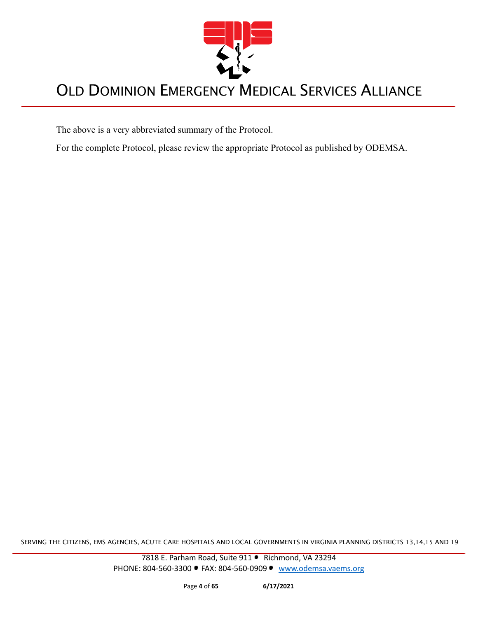

The above is a very abbreviated summary of the Protocol.

For the complete Protocol, please review the appropriate Protocol as published by ODEMSA.

SERVING THE CITIZENS, EMS AGENCIES, ACUTE CARE HOSPITALS AND LOCAL GOVERNMENTS IN VIRGINIA PLANNING DISTRICTS 13,14,15 AND 19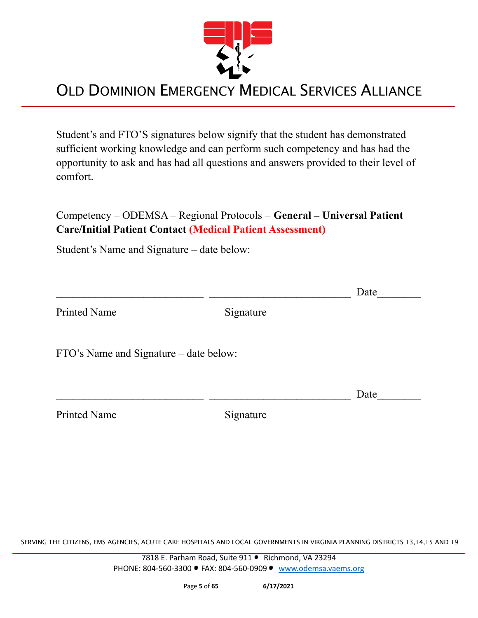

Student's and FTO'S signatures below signify that the student has demonstrated sufficient working knowledge and can perform such competency and has had the opportunity to ask and has had all questions and answers provided to their level of comfort.

Competency – ODEMSA – Regional Protocols – **General – Universal Patient Care/Initial Patient Contact (Medical Patient Assessment)**

Student's Name and Signature – date below:

|                                        |           | Date |
|----------------------------------------|-----------|------|
| <b>Printed Name</b>                    | Signature |      |
| FTO's Name and Signature – date below: |           |      |
|                                        |           | Date |
| <b>Printed Name</b>                    | Signature |      |

SERVING THE CITIZENS, EMS AGENCIES, ACUTE CARE HOSPITALS AND LOCAL GOVERNMENTS IN VIRGINIA PLANNING DISTRICTS 13,14,15 AND 19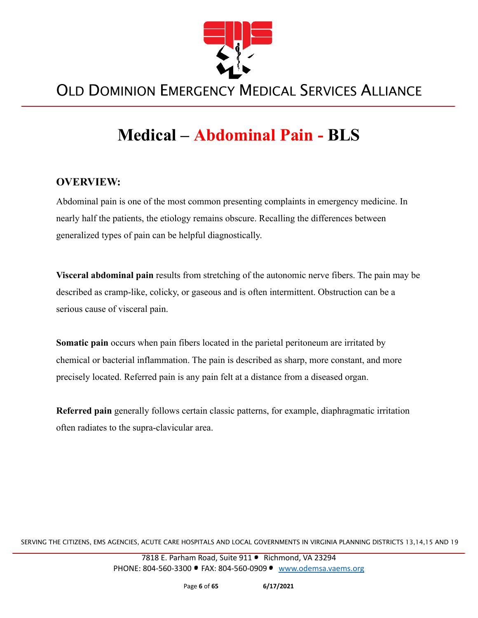

# **Medical – Abdominal Pain - BLS**

#### **OVERVIEW:**

Abdominal pain is one of the most common presenting complaints in emergency medicine. In nearly half the patients, the etiology remains obscure. Recalling the differences between generalized types of pain can be helpful diagnostically.

**Visceral abdominal pain** results from stretching of the autonomic nerve fibers. The pain may be described as cramp-like, colicky, or gaseous and is often intermittent. Obstruction can be a serious cause of visceral pain.

**Somatic pain** occurs when pain fibers located in the parietal peritoneum are irritated by chemical or bacterial inflammation. The pain is described as sharp, more constant, and more precisely located. Referred pain is any pain felt at a distance from a diseased organ.

**Referred pain** generally follows certain classic patterns, for example, diaphragmatic irritation often radiates to the supra-clavicular area.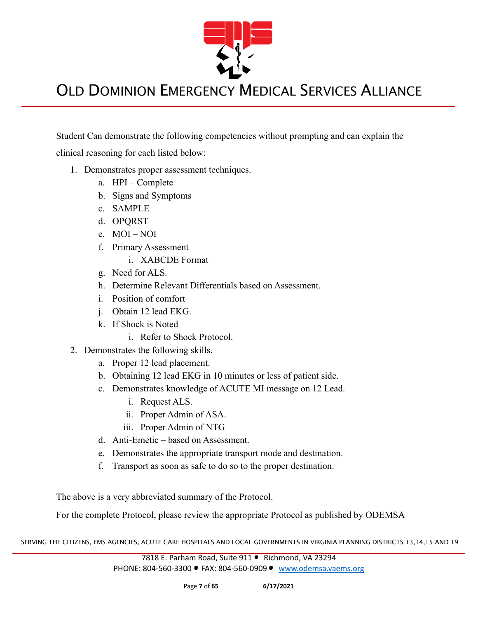

Student Can demonstrate the following competencies without prompting and can explain the

clinical reasoning for each listed below:

- 1. Demonstrates proper assessment techniques.
	- a. HPI Complete
	- b. Signs and Symptoms
	- c. SAMPLE
	- d. OPQRST
	- e. MOI NOI
	- f. Primary Assessment
		- i. XABCDE Format
	- g. Need for ALS.
	- h. Determine Relevant Differentials based on Assessment.
	- i. Position of comfort
	- j. Obtain 12 lead EKG.
	- k. If Shock is Noted
		- i. Refer to Shock Protocol.
- 2. Demonstrates the following skills.
	- a. Proper 12 lead placement.
	- b. Obtaining 12 lead EKG in 10 minutes or less of patient side.
	- c. Demonstrates knowledge of ACUTE MI message on 12 Lead.
		- i. Request ALS.
		- ii. Proper Admin of ASA.
		- iii. Proper Admin of NTG
	- d. Anti-Emetic based on Assessment.
	- e. Demonstrates the appropriate transport mode and destination.
	- f. Transport as soon as safe to do so to the proper destination.

The above is a very abbreviated summary of the Protocol.

For the complete Protocol, please review the appropriate Protocol as published by ODEMSA

SERVING THE CITIZENS, EMS AGENCIES, ACUTE CARE HOSPITALS AND LOCAL GOVERNMENTS IN VIRGINIA PLANNING DISTRICTS 13,14,15 AND 19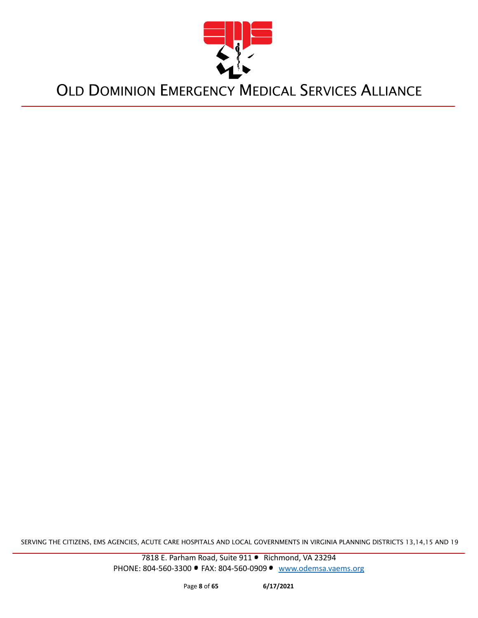

SERVING THE CITIZENS, EMS AGENCIES, ACUTE CARE HOSPITALS AND LOCAL GOVERNMENTS IN VIRGINIA PLANNING DISTRICTS 13,14,15 AND 19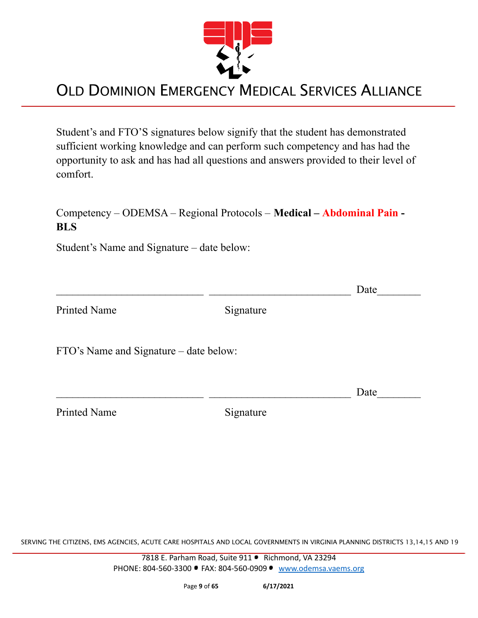

Student's and FTO'S signatures below signify that the student has demonstrated sufficient working knowledge and can perform such competency and has had the opportunity to ask and has had all questions and answers provided to their level of comfort.

#### Competency – ODEMSA – Regional Protocols – **Medical – Abdominal Pain - BLS**

Student's Name and Signature – date below:

Printed Name Signature

 $\Box$  Date

FTO's Name and Signature – date below:

 $\Box$  Date

Printed Name Signature

SERVING THE CITIZENS, EMS AGENCIES, ACUTE CARE HOSPITALS AND LOCAL GOVERNMENTS IN VIRGINIA PLANNING DISTRICTS 13,14,15 AND 19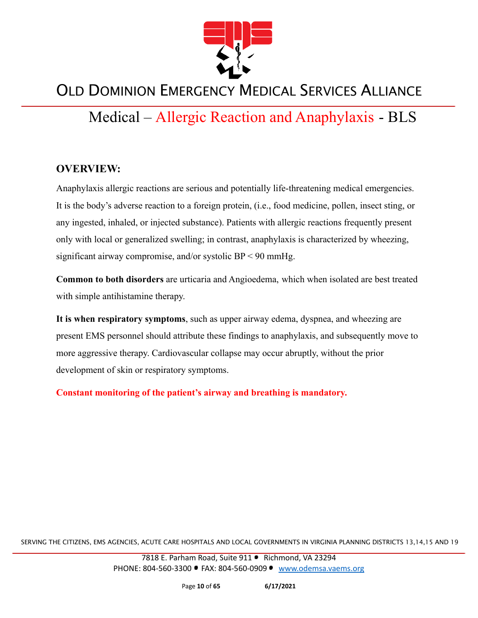

### Medical – Allergic Reaction and Anaphylaxis - BLS

#### **OVERVIEW:**

Anaphylaxis allergic reactions are serious and potentially life-threatening medical emergencies. It is the body's adverse reaction to a foreign protein, (i.e., food medicine, pollen, insect sting, or any ingested, inhaled, or injected substance). Patients with allergic reactions frequently present only with local or generalized swelling; in contrast, anaphylaxis is characterized by wheezing, significant airway compromise, and/or systolic BP < 90 mmHg.

**Common to both disorders** are urticaria and Angioedema, which when isolated are best treated with simple antihistamine therapy.

**It is when respiratory symptoms**, such as upper airway edema, dyspnea, and wheezing are present EMS personnel should attribute these findings to anaphylaxis, and subsequently move to more aggressive therapy. Cardiovascular collapse may occur abruptly, without the prior development of skin or respiratory symptoms.

**Constant monitoring of the patient's airway and breathing is mandatory.**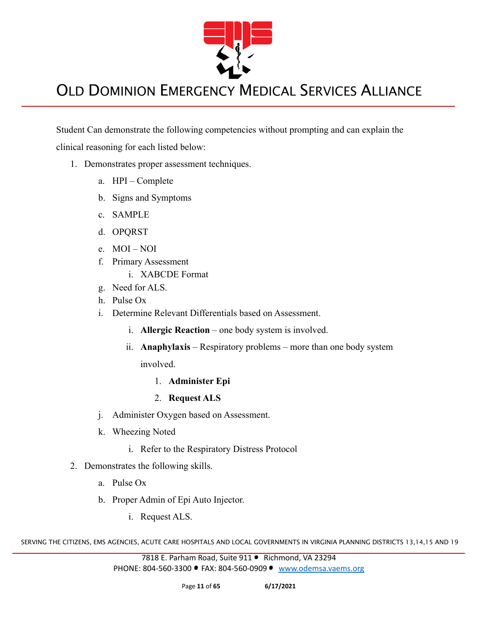

Student Can demonstrate the following competencies without prompting and can explain the clinical reasoning for each listed below:

- 1. Demonstrates proper assessment techniques.
	- a. HPI Complete
	- b. Signs and Symptoms
	- c. SAMPLE
	- d. OPQRST
	- e. MOI NOI
	- f. Primary Assessment
		- i. XABCDE Format
	- g. Need for ALS.
	- h. Pulse Ox
	- i. Determine Relevant Differentials based on Assessment.
		- i. **Allergic Reaction** one body system is involved.
		- ii. **Anaphylaxis** Respiratory problems more than one body system involved.
			- 1. **Administer Epi**
			- 2. **Request ALS**
	- j. Administer Oxygen based on Assessment.
	- k. Wheezing Noted
		- i. Refer to the Respiratory Distress Protocol
- 2. Demonstrates the following skills.
	- a. Pulse Ox
	- b. Proper Admin of Epi Auto Injector.
		- i. Request ALS.

SERVING THE CITIZENS, EMS AGENCIES, ACUTE CARE HOSPITALS AND LOCAL GOVERNMENTS IN VIRGINIA PLANNING DISTRICTS 13,14,15 AND 19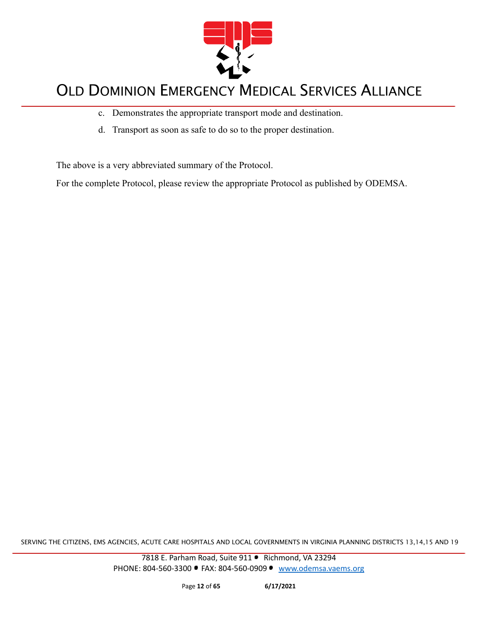

- c. Demonstrates the appropriate transport mode and destination.
- d. Transport as soon as safe to do so to the proper destination.

The above is a very abbreviated summary of the Protocol.

For the complete Protocol, please review the appropriate Protocol as published by ODEMSA.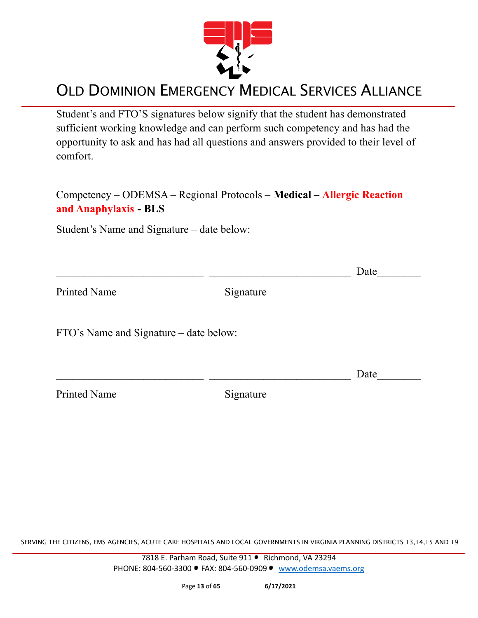

Student's and FTO'S signatures below signify that the student has demonstrated sufficient working knowledge and can perform such competency and has had the opportunity to ask and has had all questions and answers provided to their level of comfort.

Competency – ODEMSA – Regional Protocols – **Medical – Allergic Reaction and Anaphylaxis - BLS**

Student's Name and Signature – date below:

|                                        |           | Date |
|----------------------------------------|-----------|------|
| <b>Printed Name</b>                    | Signature |      |
| FTO's Name and Signature – date below: |           |      |
|                                        |           | Date |
| <b>Printed Name</b>                    | Signature |      |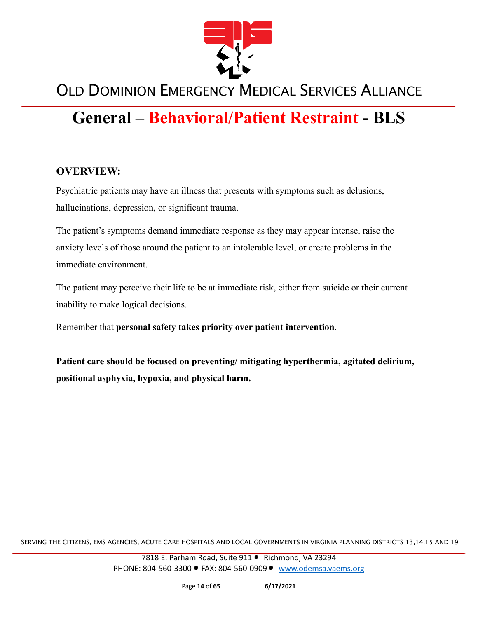

### **General – Behavioral/Patient Restraint - BLS**

#### **OVERVIEW:**

Psychiatric patients may have an illness that presents with symptoms such as delusions, hallucinations, depression, or significant trauma.

The patient's symptoms demand immediate response as they may appear intense, raise the anxiety levels of those around the patient to an intolerable level, or create problems in the immediate environment.

The patient may perceive their life to be at immediate risk, either from suicide or their current inability to make logical decisions.

Remember that **personal safety takes priority over patient intervention**.

**Patient care should be focused on preventing/ mitigating hyperthermia, agitated delirium, positional asphyxia, hypoxia, and physical harm.**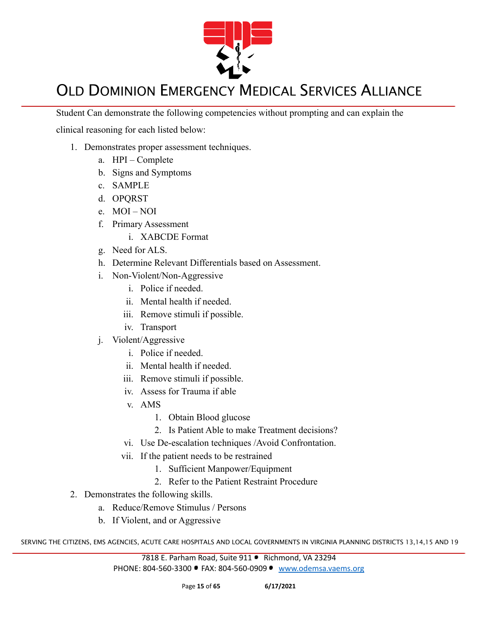

Student Can demonstrate the following competencies without prompting and can explain the

clinical reasoning for each listed below:

- 1. Demonstrates proper assessment techniques.
	- a. HPI Complete
	- b. Signs and Symptoms
	- c. SAMPLE
	- d. OPQRST
	- e. MOI NOI
	- f. Primary Assessment
		- i. XABCDE Format
	- g. Need for ALS.
	- h. Determine Relevant Differentials based on Assessment.
	- i. Non-Violent/Non-Aggressive
		- i. Police if needed.
		- ii. Mental health if needed.
		- iii. Remove stimuli if possible.
		- iv. Transport
	- j. Violent/Aggressive
		- i. Police if needed.
		- ii. Mental health if needed.
		- iii. Remove stimuli if possible.
		- iv. Assess for Trauma if able
		- v. AMS
			- 1. Obtain Blood glucose
			- 2. Is Patient Able to make Treatment decisions?
		- vi. Use De-escalation techniques /Avoid Confrontation.
		- vii. If the patient needs to be restrained
			- 1. Sufficient Manpower/Equipment
			- 2. Refer to the Patient Restraint Procedure
- 2. Demonstrates the following skills.
	- a. Reduce/Remove Stimulus / Persons
	- b. If Violent, and or Aggressive

SERVING THE CITIZENS, EMS AGENCIES, ACUTE CARE HOSPITALS AND LOCAL GOVERNMENTS IN VIRGINIA PLANNING DISTRICTS 13,14,15 AND 19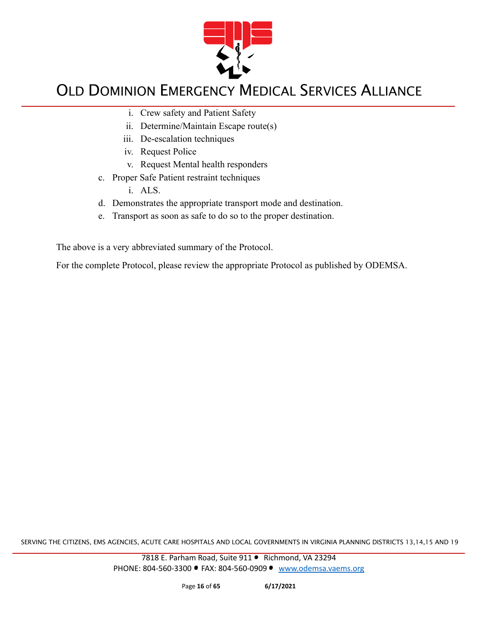

- i. Crew safety and Patient Safety
- ii. Determine/Maintain Escape route(s)
- iii. De-escalation techniques
- iv. Request Police
- v. Request Mental health responders
- c. Proper Safe Patient restraint techniques
	- i. ALS.
- d. Demonstrates the appropriate transport mode and destination.
- e. Transport as soon as safe to do so to the proper destination.

The above is a very abbreviated summary of the Protocol.

For the complete Protocol, please review the appropriate Protocol as published by ODEMSA.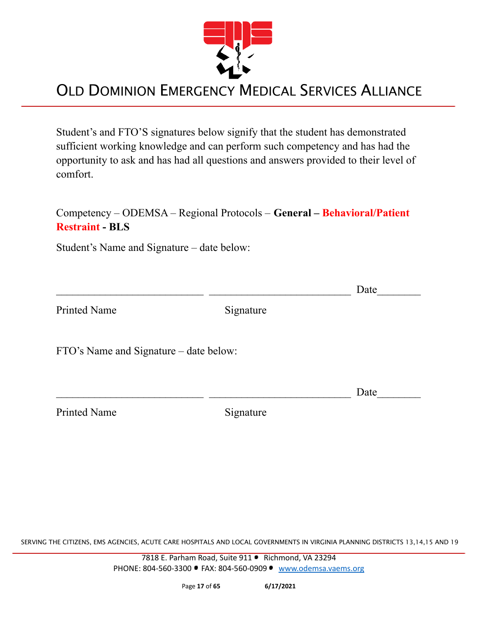

Student's and FTO'S signatures below signify that the student has demonstrated sufficient working knowledge and can perform such competency and has had the opportunity to ask and has had all questions and answers provided to their level of comfort.

#### Competency – ODEMSA – Regional Protocols – **General – Behavioral/Patient Restraint - BLS**

Student's Name and Signature – date below:

Printed Name Signature

|                                        |           | Date |
|----------------------------------------|-----------|------|
| <b>Printed Name</b>                    | Signature |      |
| FTO's Name and Signature – date below: |           |      |
|                                        |           | Date |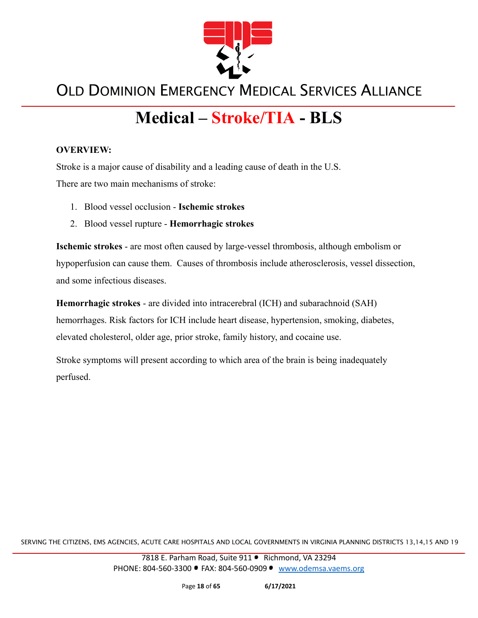

# **Medical – Stroke/TIA - BLS**

#### **OVERVIEW:**

Stroke is a major cause of disability and a leading cause of death in the U.S.

There are two main mechanisms of stroke:

- 1. Blood vessel occlusion **Ischemic strokes**
- 2. Blood vessel rupture **Hemorrhagic strokes**

**Ischemic strokes** - are most often caused by large-vessel thrombosis, although embolism or hypoperfusion can cause them. Causes of thrombosis include atherosclerosis, vessel dissection, and some infectious diseases.

**Hemorrhagic strokes** - are divided into intracerebral (ICH) and subarachnoid (SAH) hemorrhages. Risk factors for ICH include heart disease, hypertension, smoking, diabetes, elevated cholesterol, older age, prior stroke, family history, and cocaine use.

Stroke symptoms will present according to which area of the brain is being inadequately perfused.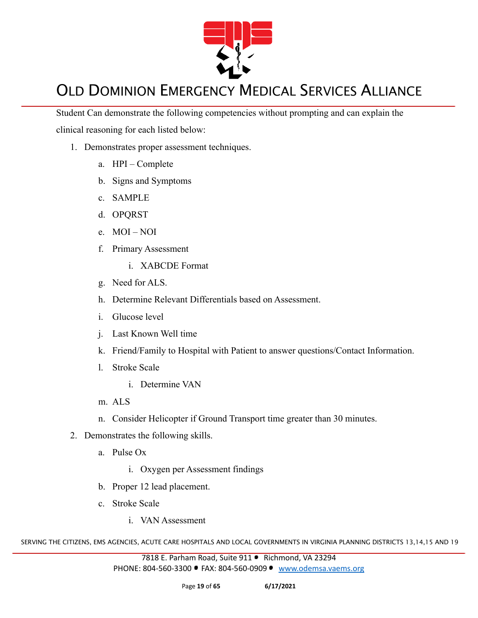

Student Can demonstrate the following competencies without prompting and can explain the clinical reasoning for each listed below:

- 1. Demonstrates proper assessment techniques.
	- a. HPI Complete
	- b. Signs and Symptoms
	- c. SAMPLE
	- d. OPQRST
	- e. MOI NOI
	- f. Primary Assessment
		- i. XABCDE Format
	- g. Need for ALS.
	- h. Determine Relevant Differentials based on Assessment.
	- i. Glucose level
	- j. Last Known Well time
	- k. Friend/Family to Hospital with Patient to answer questions/Contact Information.
	- l. Stroke Scale
		- i. Determine VAN
	- m. ALS
	- n. Consider Helicopter if Ground Transport time greater than 30 minutes.
- 2. Demonstrates the following skills.
	- a. Pulse Ox
		- i. Oxygen per Assessment findings
	- b. Proper 12 lead placement.
	- c. Stroke Scale
		- i. VAN Assessment

SERVING THE CITIZENS, EMS AGENCIES, ACUTE CARE HOSPITALS AND LOCAL GOVERNMENTS IN VIRGINIA PLANNING DISTRICTS 13,14,15 AND 19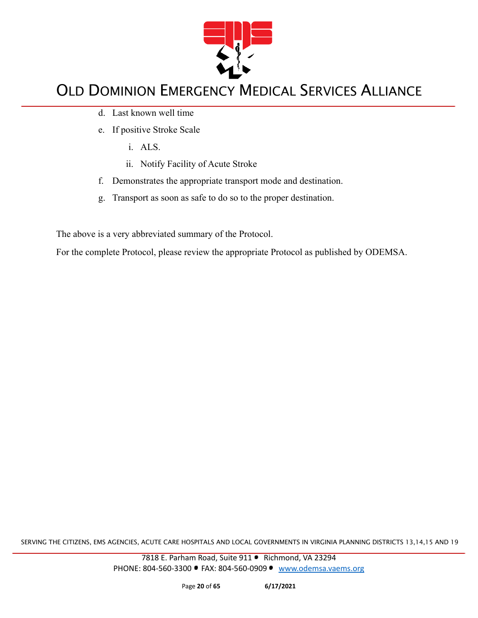

- d. Last known well time
- e. If positive Stroke Scale
	- i. ALS.
	- ii. Notify Facility of Acute Stroke
- f. Demonstrates the appropriate transport mode and destination.
- g. Transport as soon as safe to do so to the proper destination.

The above is a very abbreviated summary of the Protocol.

For the complete Protocol, please review the appropriate Protocol as published by ODEMSA.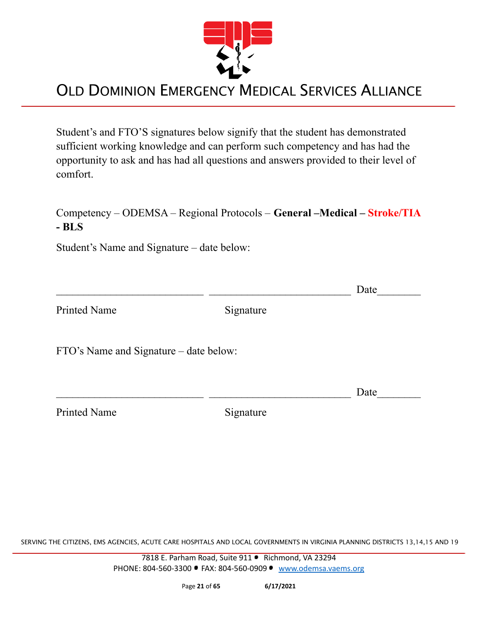

Student's and FTO'S signatures below signify that the student has demonstrated sufficient working knowledge and can perform such competency and has had the opportunity to ask and has had all questions and answers provided to their level of comfort.

#### Competency – ODEMSA – Regional Protocols – **General –Medical – Stroke/TIA - BLS**

Student's Name and Signature – date below:

Printed Name Signature

 $\Box$  Date

FTO's Name and Signature – date below:

 $\Box$  Date

Printed Name Signature

SERVING THE CITIZENS, EMS AGENCIES, ACUTE CARE HOSPITALS AND LOCAL GOVERNMENTS IN VIRGINIA PLANNING DISTRICTS 13,14,15 AND 19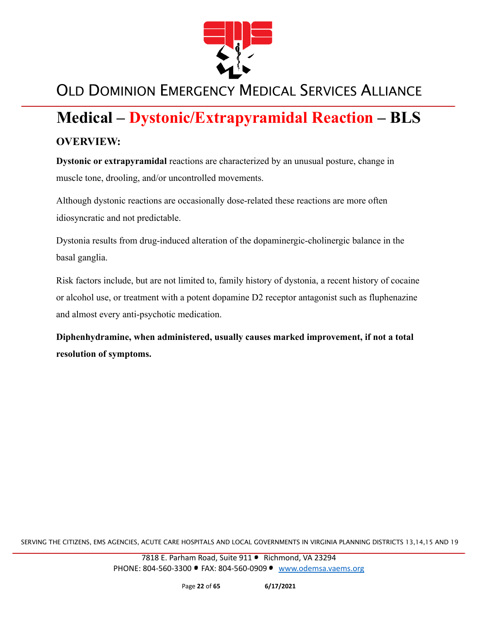

# **Medical – Dystonic/Extrapyramidal Reaction – BLS**

#### **OVERVIEW:**

**Dystonic or extrapyramidal** reactions are characterized by an unusual posture, change in muscle tone, drooling, and/or uncontrolled movements.

Although dystonic reactions are occasionally dose-related these reactions are more often idiosyncratic and not predictable.

Dystonia results from drug-induced alteration of the dopaminergic-cholinergic balance in the basal ganglia.

Risk factors include, but are not limited to, family history of dystonia, a recent history of cocaine or alcohol use, or treatment with a potent dopamine D2 receptor antagonist such as fluphenazine and almost every anti-psychotic medication.

**Diphenhydramine, when administered, usually causes marked improvement, if not a total resolution of symptoms.**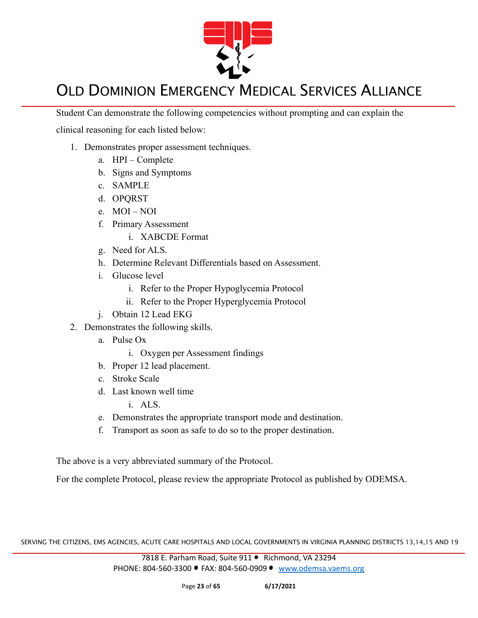

Student Can demonstrate the following competencies without prompting and can explain the

clinical reasoning for each listed below:

- 1. Demonstrates proper assessment techniques.
	- a. HPI Complete
	- b. Signs and Symptoms
	- c. SAMPLE
	- d. OPQRST
	- e. MOI NOI
	- f. Primary Assessment
		- i. XABCDE Format
	- g. Need for ALS.
	- h. Determine Relevant Differentials based on Assessment.
	- i. Glucose level
		- i. Refer to the Proper Hypoglycemia Protocol
		- ii. Refer to the Proper Hyperglycemia Protocol
	- j. Obtain 12 Lead EKG
- 2. Demonstrates the following skills.
	- a. Pulse Ox
		- i. Oxygen per Assessment findings
	- b. Proper 12 lead placement.
	- c. Stroke Scale
	- d. Last known well time
		- i. ALS.
	- e. Demonstrates the appropriate transport mode and destination.
	- f. Transport as soon as safe to do so to the proper destination.

The above is a very abbreviated summary of the Protocol.

For the complete Protocol, please review the appropriate Protocol as published by ODEMSA.

SERVING THE CITIZENS, EMS AGENCIES, ACUTE CARE HOSPITALS AND LOCAL GOVERNMENTS IN VIRGINIA PLANNING DISTRICTS 13,14,15 AND 19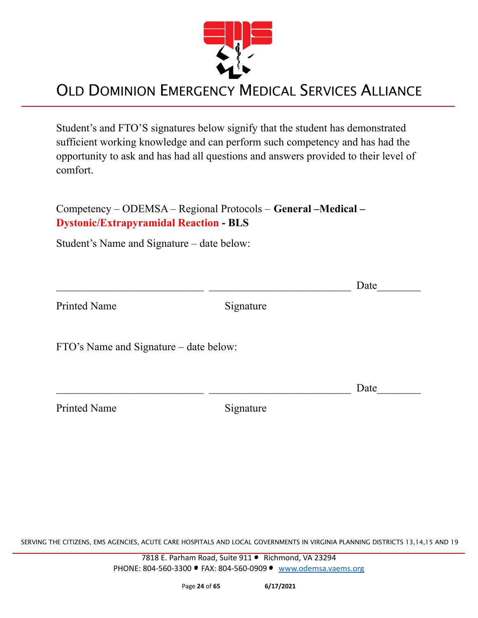

Student's and FTO'S signatures below signify that the student has demonstrated sufficient working knowledge and can perform such competency and has had the opportunity to ask and has had all questions and answers provided to their level of comfort.

Competency – ODEMSA – Regional Protocols – **General –Medical – Dystonic/Extrapyramidal Reaction - BLS**

Student's Name and Signature – date below:

|                                        |           | Date |
|----------------------------------------|-----------|------|
| <b>Printed Name</b>                    | Signature |      |
| FTO's Name and Signature – date below: |           |      |
|                                        |           | Date |
| <b>Printed Name</b>                    | Signature |      |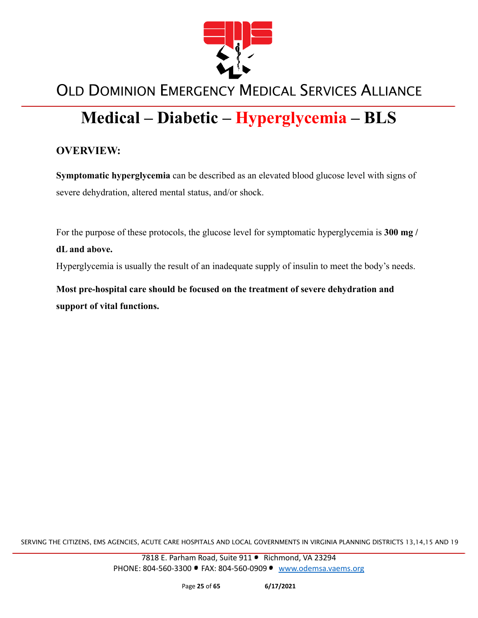

# **Medical – Diabetic – Hyperglycemia – BLS**

#### **OVERVIEW:**

**Symptomatic hyperglycemia** can be described as an elevated blood glucose level with signs of severe dehydration, altered mental status, and/or shock.

For the purpose of these protocols, the glucose level for symptomatic hyperglycemia is **300 mg /**

#### **dL and above.**

Hyperglycemia is usually the result of an inadequate supply of insulin to meet the body's needs.

**Most pre-hospital care should be focused on the treatment of severe dehydration and support of vital functions.**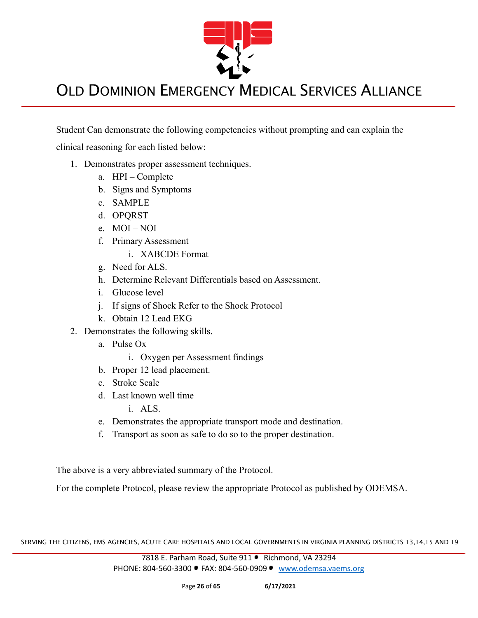

Student Can demonstrate the following competencies without prompting and can explain the

clinical reasoning for each listed below:

- 1. Demonstrates proper assessment techniques.
	- a. HPI Complete
	- b. Signs and Symptoms
	- c. SAMPLE
	- d. OPQRST
	- e. MOI NOI
	- f. Primary Assessment
		- i. XABCDE Format
	- g. Need for ALS.
	- h. Determine Relevant Differentials based on Assessment.
	- i. Glucose level
	- j. If signs of Shock Refer to the Shock Protocol
	- k. Obtain 12 Lead EKG
- 2. Demonstrates the following skills.
	- a. Pulse Ox
		- i. Oxygen per Assessment findings
	- b. Proper 12 lead placement.
	- c. Stroke Scale
	- d. Last known well time
		- i. ALS.
	- e. Demonstrates the appropriate transport mode and destination.
	- f. Transport as soon as safe to do so to the proper destination.

The above is a very abbreviated summary of the Protocol.

For the complete Protocol, please review the appropriate Protocol as published by ODEMSA.

SERVING THE CITIZENS, EMS AGENCIES, ACUTE CARE HOSPITALS AND LOCAL GOVERNMENTS IN VIRGINIA PLANNING DISTRICTS 13,14,15 AND 19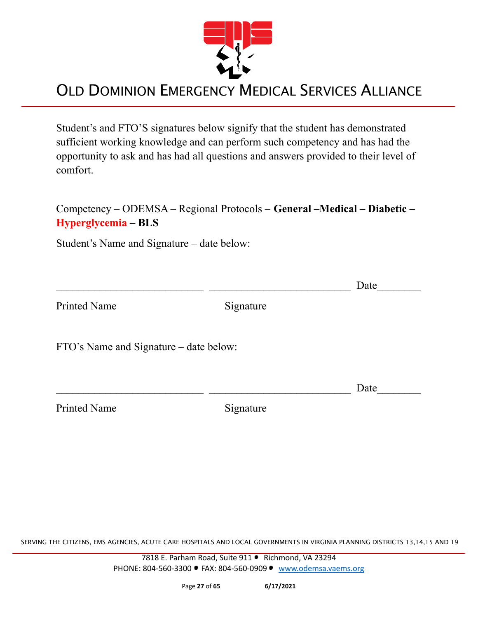

Student's and FTO'S signatures below signify that the student has demonstrated sufficient working knowledge and can perform such competency and has had the opportunity to ask and has had all questions and answers provided to their level of comfort.

Competency – ODEMSA – Regional Protocols – **General –Medical – Diabetic – Hyperglycemia – BLS**

Student's Name and Signature – date below:

|                                        |           | Date |
|----------------------------------------|-----------|------|
| <b>Printed Name</b>                    | Signature |      |
| FTO's Name and Signature – date below: |           |      |
|                                        |           | Date |
| <b>Printed Name</b>                    | Signature |      |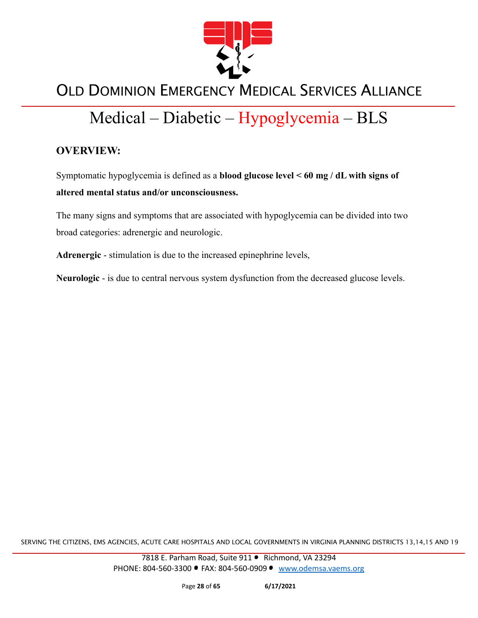

# Medical – Diabetic – Hypoglycemia – BLS

#### **OVERVIEW:**

Symptomatic hypoglycemia is defined as a **blood glucose level < 60 mg / dL with signs of altered mental status and/or unconsciousness.**

The many signs and symptoms that are associated with hypoglycemia can be divided into two broad categories: adrenergic and neurologic.

**Adrenergic** - stimulation is due to the increased epinephrine levels,

**Neurologic** - is due to central nervous system dysfunction from the decreased glucose levels.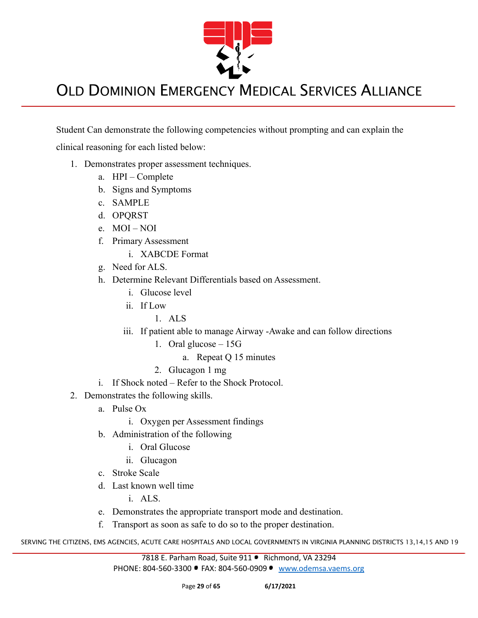

Student Can demonstrate the following competencies without prompting and can explain the

clinical reasoning for each listed below:

- 1. Demonstrates proper assessment techniques.
	- a. HPI Complete
	- b. Signs and Symptoms
	- c. SAMPLE
	- d. OPQRST
	- e. MOI NOI
	- f. Primary Assessment
		- i. XABCDE Format
	- g. Need for ALS.
	- h. Determine Relevant Differentials based on Assessment.
		- i. Glucose level
		- ii. If Low
			- 1. ALS
		- iii. If patient able to manage Airway -Awake and can follow directions
			- 1. Oral glucose 15G
				- a. Repeat Q 15 minutes
			- 2. Glucagon 1 mg
	- i. If Shock noted Refer to the Shock Protocol.
- 2. Demonstrates the following skills.
	- a. Pulse Ox
		- i. Oxygen per Assessment findings
	- b. Administration of the following
		- i. Oral Glucose
		- ii. Glucagon
	- c. Stroke Scale
	- d. Last known well time
		- i. ALS.
	- e. Demonstrates the appropriate transport mode and destination.
	- f. Transport as soon as safe to do so to the proper destination.

SERVING THE CITIZENS, EMS AGENCIES, ACUTE CARE HOSPITALS AND LOCAL GOVERNMENTS IN VIRGINIA PLANNING DISTRICTS 13,14,15 AND 19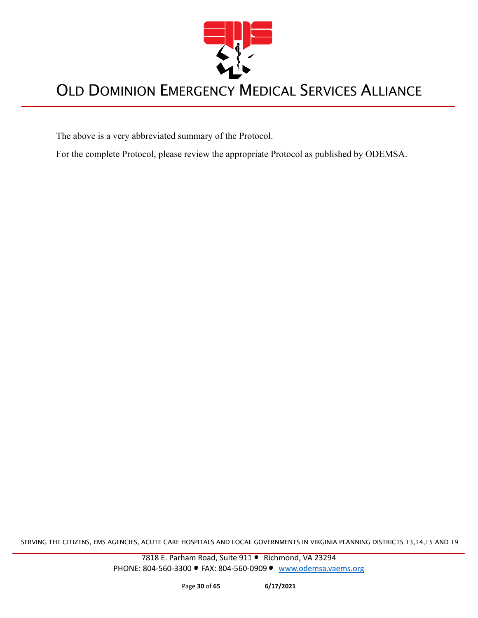

The above is a very abbreviated summary of the Protocol.

For the complete Protocol, please review the appropriate Protocol as published by ODEMSA.

SERVING THE CITIZENS, EMS AGENCIES, ACUTE CARE HOSPITALS AND LOCAL GOVERNMENTS IN VIRGINIA PLANNING DISTRICTS 13,14,15 AND 19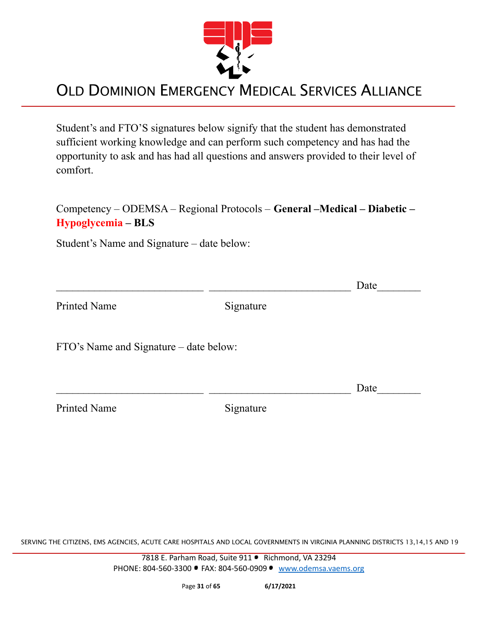

Student's and FTO'S signatures below signify that the student has demonstrated sufficient working knowledge and can perform such competency and has had the opportunity to ask and has had all questions and answers provided to their level of comfort.

Competency – ODEMSA – Regional Protocols – **General –Medical – Diabetic – Hypoglycemia – BLS**

Student's Name and Signature – date below:

|                                        |           | Date |
|----------------------------------------|-----------|------|
| <b>Printed Name</b>                    | Signature |      |
| FTO's Name and Signature – date below: |           |      |
|                                        |           | Date |
| <b>Printed Name</b>                    | Signature |      |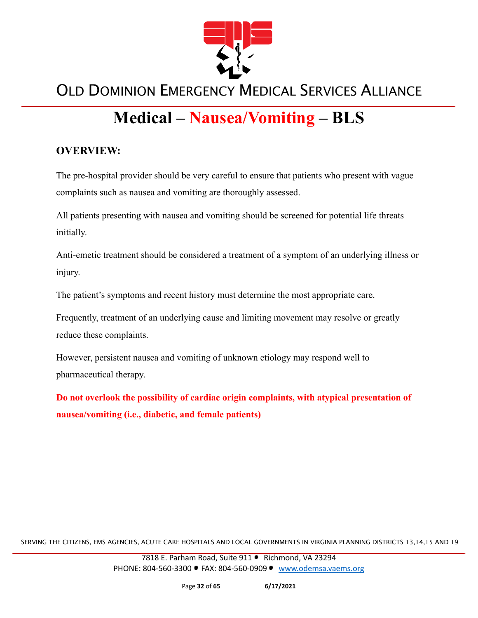

# **Medical – Nausea/Vomiting – BLS**

#### **OVERVIEW:**

The pre-hospital provider should be very careful to ensure that patients who present with vague complaints such as nausea and vomiting are thoroughly assessed.

All patients presenting with nausea and vomiting should be screened for potential life threats initially.

Anti-emetic treatment should be considered a treatment of a symptom of an underlying illness or injury.

The patient's symptoms and recent history must determine the most appropriate care.

Frequently, treatment of an underlying cause and limiting movement may resolve or greatly reduce these complaints.

However, persistent nausea and vomiting of unknown etiology may respond well to pharmaceutical therapy.

**Do not overlook the possibility of cardiac origin complaints, with atypical presentation of nausea/vomiting (i.e., diabetic, and female patients)**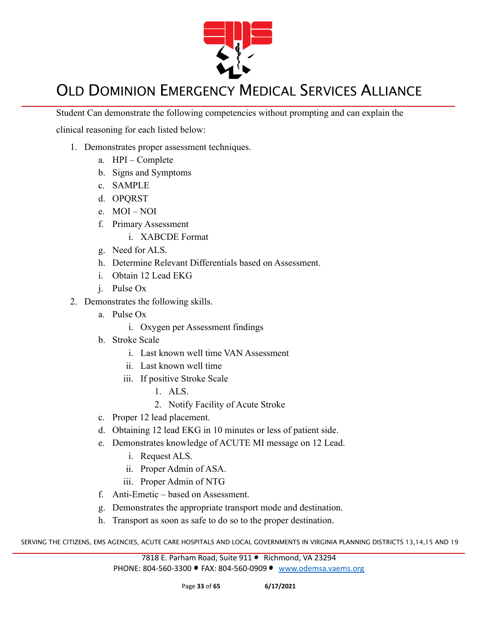

Student Can demonstrate the following competencies without prompting and can explain the

clinical reasoning for each listed below:

- 1. Demonstrates proper assessment techniques.
	- a. HPI Complete
	- b. Signs and Symptoms
	- c. SAMPLE
	- d. OPQRST
	- e. MOI NOI
	- f. Primary Assessment
		- i. XABCDE Format
	- g. Need for ALS.
	- h. Determine Relevant Differentials based on Assessment.
	- i. Obtain 12 Lead EKG
	- j. Pulse Ox
- 2. Demonstrates the following skills.
	- a. Pulse Ox
		- i. Oxygen per Assessment findings
	- b. Stroke Scale
		- i. Last known well time VAN Assessment
		- ii. Last known well time
		- iii. If positive Stroke Scale
			- 1. ALS.
			- 2. Notify Facility of Acute Stroke
	- c. Proper 12 lead placement.
	- d. Obtaining 12 lead EKG in 10 minutes or less of patient side.
	- e. Demonstrates knowledge of ACUTE MI message on 12 Lead.
		- i. Request ALS.
		- ii. Proper Admin of ASA.
		- iii. Proper Admin of NTG
	- f. Anti-Emetic based on Assessment.
	- g. Demonstrates the appropriate transport mode and destination.
	- h. Transport as soon as safe to do so to the proper destination.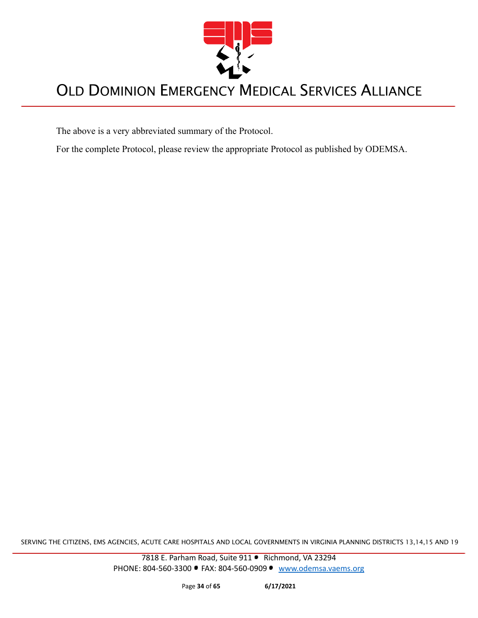

The above is a very abbreviated summary of the Protocol.

For the complete Protocol, please review the appropriate Protocol as published by ODEMSA.

SERVING THE CITIZENS, EMS AGENCIES, ACUTE CARE HOSPITALS AND LOCAL GOVERNMENTS IN VIRGINIA PLANNING DISTRICTS 13,14,15 AND 19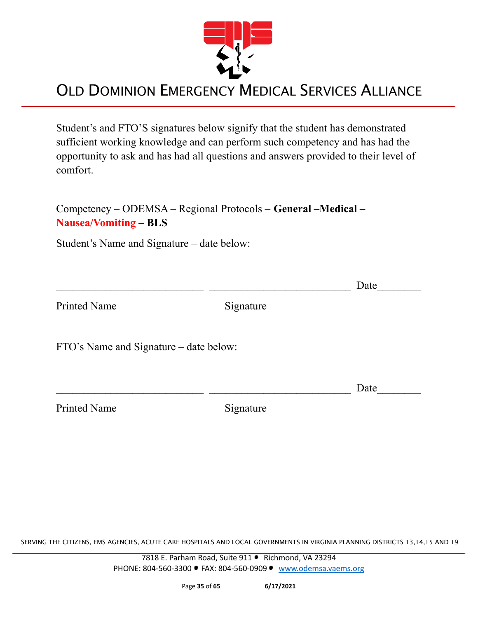

Student's and FTO'S signatures below signify that the student has demonstrated sufficient working knowledge and can perform such competency and has had the opportunity to ask and has had all questions and answers provided to their level of comfort.

Competency – ODEMSA – Regional Protocols – **General –Medical – Nausea/Vomiting – BLS**

Student's Name and Signature – date below:

|                                        |           | Date |
|----------------------------------------|-----------|------|
| <b>Printed Name</b>                    | Signature |      |
| FTO's Name and Signature – date below: |           |      |
|                                        |           | Date |
| <b>Printed Name</b>                    | Signature |      |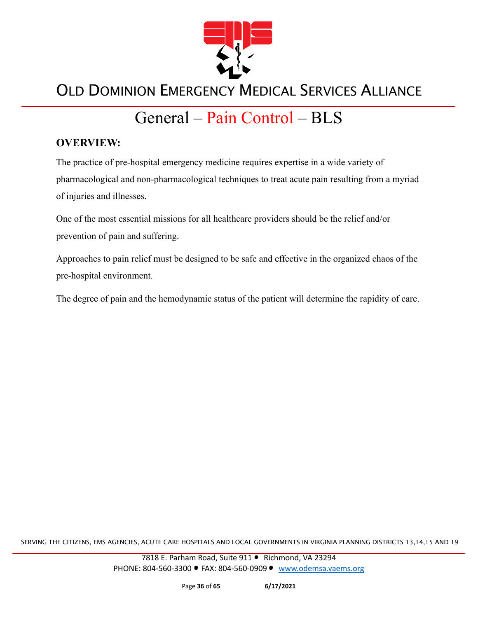

# General – Pain Control – BLS

#### **OVERVIEW:**

The practice of pre-hospital emergency medicine requires expertise in a wide variety of pharmacological and non-pharmacological techniques to treat acute pain resulting from a myriad of injuries and illnesses.

One of the most essential missions for all healthcare providers should be the relief and/or prevention of pain and suffering.

Approaches to pain relief must be designed to be safe and effective in the organized chaos of the pre-hospital environment.

The degree of pain and the hemodynamic status of the patient will determine the rapidity of care.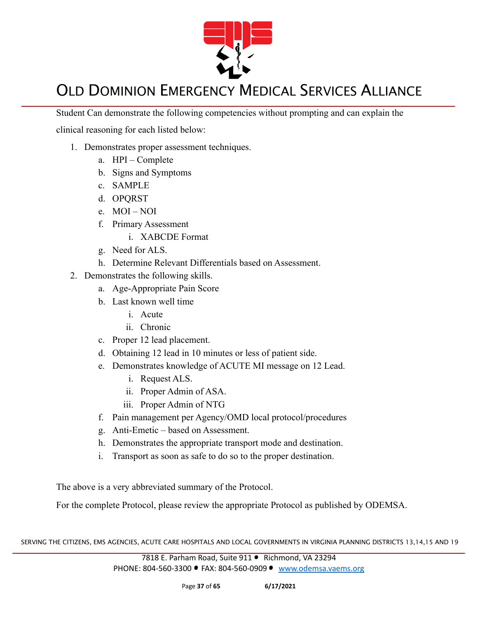

Student Can demonstrate the following competencies without prompting and can explain the

clinical reasoning for each listed below:

- 1. Demonstrates proper assessment techniques.
	- a. HPI Complete
	- b. Signs and Symptoms
	- c. SAMPLE
	- d. OPQRST
	- e. MOI NOI
	- f. Primary Assessment
		- i. XABCDE Format
	- g. Need for ALS.
	- h. Determine Relevant Differentials based on Assessment.
- 2. Demonstrates the following skills.
	- a. Age-Appropriate Pain Score
	- b. Last known well time
		- i. Acute
		- ii. Chronic
	- c. Proper 12 lead placement.
	- d. Obtaining 12 lead in 10 minutes or less of patient side.
	- e. Demonstrates knowledge of ACUTE MI message on 12 Lead.
		- i. Request ALS.
		- ii. Proper Admin of ASA.
		- iii. Proper Admin of NTG
	- f. Pain management per Agency/OMD local protocol/procedures
	- g. Anti-Emetic based on Assessment.
	- h. Demonstrates the appropriate transport mode and destination.
	- i. Transport as soon as safe to do so to the proper destination.

The above is a very abbreviated summary of the Protocol.

For the complete Protocol, please review the appropriate Protocol as published by ODEMSA.

SERVING THE CITIZENS, EMS AGENCIES, ACUTE CARE HOSPITALS AND LOCAL GOVERNMENTS IN VIRGINIA PLANNING DISTRICTS 13,14,15 AND 19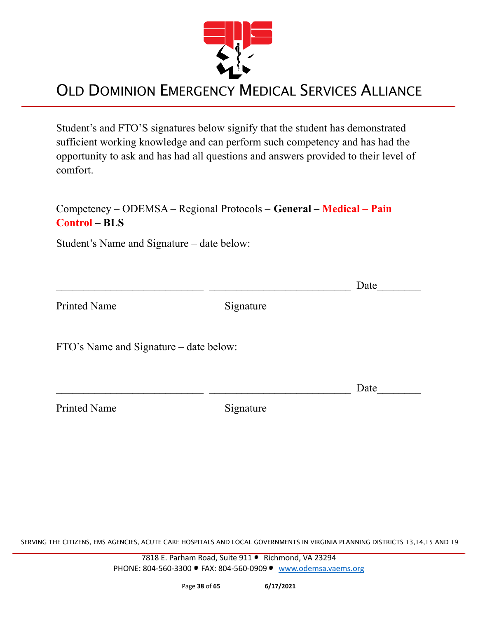

Student's and FTO'S signatures below signify that the student has demonstrated sufficient working knowledge and can perform such competency and has had the opportunity to ask and has had all questions and answers provided to their level of comfort.

#### Competency – ODEMSA – Regional Protocols – **General – Medical – Pain Control – BLS**

Student's Name and Signature – date below:

|                                        |           | Date |
|----------------------------------------|-----------|------|
| <b>Printed Name</b>                    | Signature |      |
| FTO's Name and Signature – date below: |           |      |
|                                        |           | Date |
| <b>Printed Name</b>                    | Signature |      |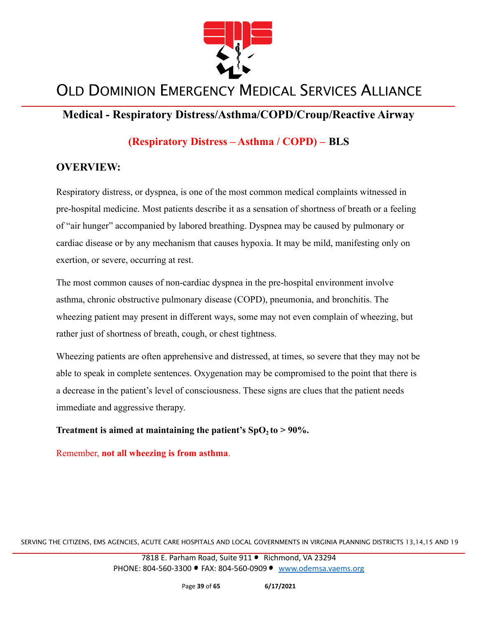

#### **Medical - Respiratory Distress/Asthma/COPD/Croup/Reactive Airway**

#### **(Respiratory Distress – Asthma / COPD) – BLS**

#### **OVERVIEW:**

Respiratory distress, or dyspnea, is one of the most common medical complaints witnessed in pre-hospital medicine. Most patients describe it as a sensation of shortness of breath or a feeling of "air hunger" accompanied by labored breathing. Dyspnea may be caused by pulmonary or cardiac disease or by any mechanism that causes hypoxia. It may be mild, manifesting only on exertion, or severe, occurring at rest.

The most common causes of non-cardiac dyspnea in the pre-hospital environment involve asthma, chronic obstructive pulmonary disease (COPD), pneumonia, and bronchitis. The wheezing patient may present in different ways, some may not even complain of wheezing, but rather just of shortness of breath, cough, or chest tightness.

Wheezing patients are often apprehensive and distressed, at times, so severe that they may not be able to speak in complete sentences. Oxygenation may be compromised to the point that there is a decrease in the patient's level of consciousness. These signs are clues that the patient needs immediate and aggressive therapy.

#### **Treatment is aimed at maintaining the patient's**  $SpO$ **, to**  $> 90\%$ **.**

Remember, **not all wheezing is from asthma**.

SERVING THE CITIZENS, EMS AGENCIES, ACUTE CARE HOSPITALS AND LOCAL GOVERNMENTS IN VIRGINIA PLANNING DISTRICTS 13,14,15 AND 19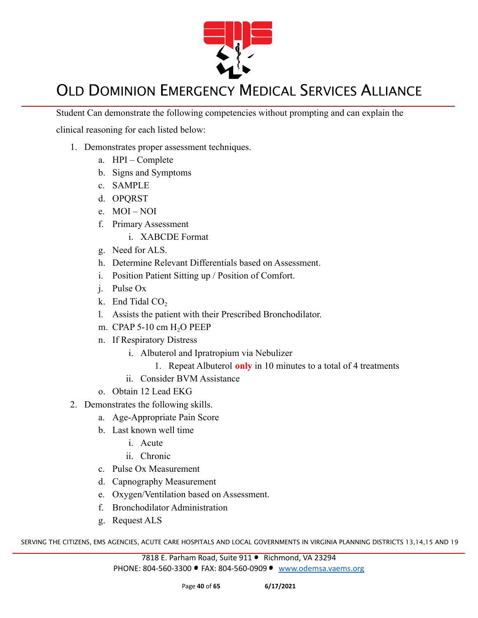

Student Can demonstrate the following competencies without prompting and can explain the

clinical reasoning for each listed below:

- 1. Demonstrates proper assessment techniques.
	- a. HPI Complete
	- b. Signs and Symptoms
	- c. SAMPLE
	- d. OPQRST
	- e. MOI NOI
	- f. Primary Assessment
		- i. XABCDE Format
	- g. Need for ALS.
	- h. Determine Relevant Differentials based on Assessment.
	- i. Position Patient Sitting up / Position of Comfort.
	- j. Pulse Ox
	- k. End Tidal  $CO<sub>2</sub>$
	- l. Assists the patient with their Prescribed Bronchodilator.
	- m. CPAP 5-10 cm H<sub>2</sub>O PEEP
	- n. If Respiratory Distress
		- i. Albuterol and Ipratropium via Nebulizer
			- 1. Repeat Albuterol **only** in 10 minutes to a total of 4 treatments
		- ii. Consider BVM Assistance
	- o. Obtain 12 Lead EKG
- 2. Demonstrates the following skills.
	- a. Age-Appropriate Pain Score
	- b. Last known well time
		- i. Acute
		- ii. Chronic
	- c. Pulse Ox Measurement
	- d. Capnography Measurement
	- e. Oxygen/Ventilation based on Assessment.
	- f. Bronchodilator Administration
	- g. Request ALS

SERVING THE CITIZENS, EMS AGENCIES, ACUTE CARE HOSPITALS AND LOCAL GOVERNMENTS IN VIRGINIA PLANNING DISTRICTS 13,14,15 AND 19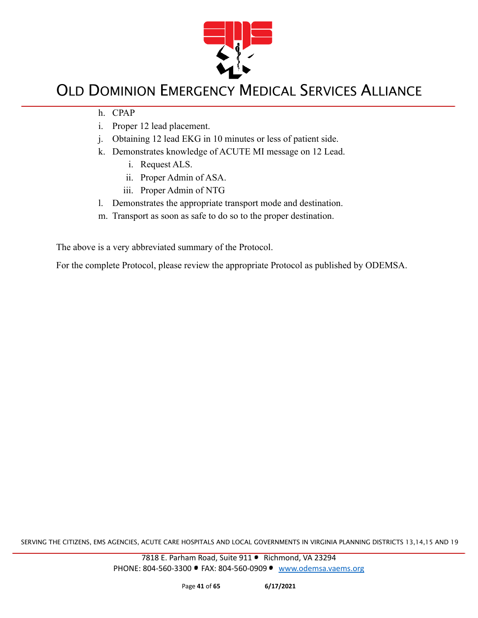

#### h. CPAP

- i. Proper 12 lead placement.
- j. Obtaining 12 lead EKG in 10 minutes or less of patient side.
- k. Demonstrates knowledge of ACUTE MI message on 12 Lead.
	- i. Request ALS.
	- ii. Proper Admin of ASA.
	- iii. Proper Admin of NTG
- l. Demonstrates the appropriate transport mode and destination.
- m. Transport as soon as safe to do so to the proper destination.

The above is a very abbreviated summary of the Protocol.

For the complete Protocol, please review the appropriate Protocol as published by ODEMSA.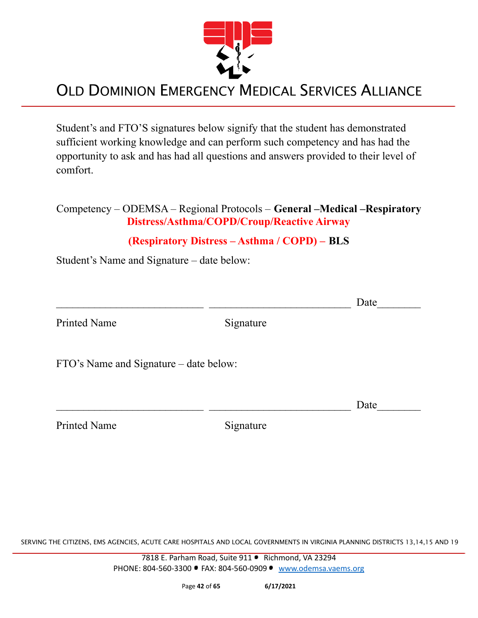

Student's and FTO'S signatures below signify that the student has demonstrated sufficient working knowledge and can perform such competency and has had the opportunity to ask and has had all questions and answers provided to their level of comfort.

#### Competency – ODEMSA – Regional Protocols – **General –Medical –Respiratory Distress/Asthma/COPD/Croup/Reactive Airway**

#### **(Respiratory Distress – Asthma / COPD) – BLS**

Student's Name and Signature – date below:

|                                        |           | Date |
|----------------------------------------|-----------|------|
| <b>Printed Name</b>                    | Signature |      |
| FTO's Name and Signature – date below: |           |      |
|                                        |           | Date |
| <b>Printed Name</b>                    | Signature |      |

SERVING THE CITIZENS, EMS AGENCIES, ACUTE CARE HOSPITALS AND LOCAL GOVERNMENTS IN VIRGINIA PLANNING DISTRICTS 13,14,15 AND 19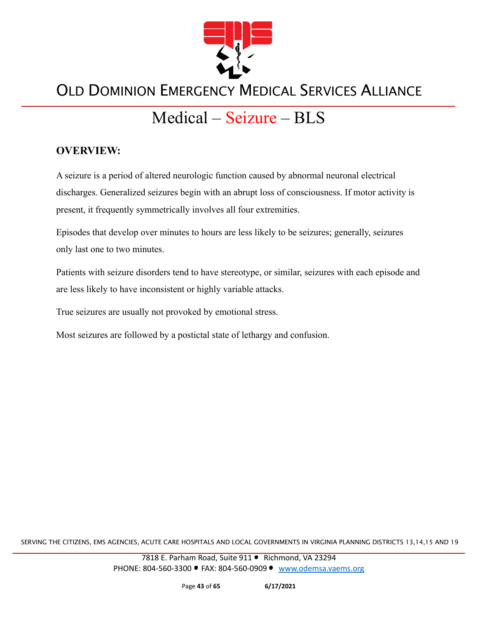

# Medical – Seizure – BLS

#### **OVERVIEW:**

A seizure is a period of altered neurologic function caused by abnormal neuronal electrical discharges. Generalized seizures begin with an abrupt loss of consciousness. If motor activity is present, it frequently symmetrically involves all four extremities.

Episodes that develop over minutes to hours are less likely to be seizures; generally, seizures only last one to two minutes.

Patients with seizure disorders tend to have stereotype, or similar, seizures with each episode and are less likely to have inconsistent or highly variable attacks.

True seizures are usually not provoked by emotional stress.

Most seizures are followed by a postictal state of lethargy and confusion.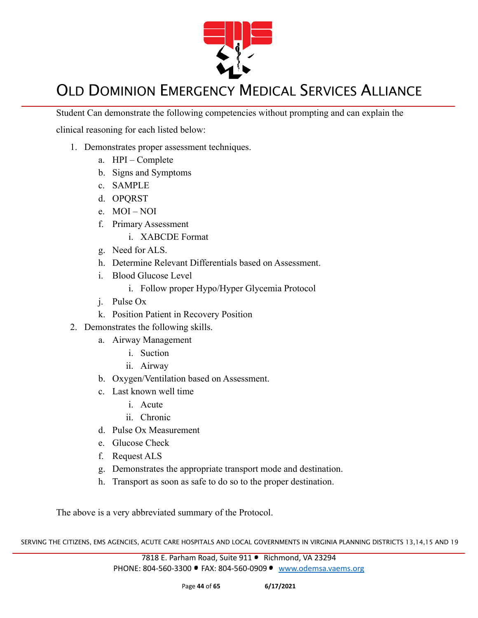

Student Can demonstrate the following competencies without prompting and can explain the

clinical reasoning for each listed below:

- 1. Demonstrates proper assessment techniques.
	- a. HPI Complete
	- b. Signs and Symptoms
	- c. SAMPLE
	- d. OPQRST
	- e. MOI NOI
	- f. Primary Assessment
		- i. XABCDE Format
	- g. Need for ALS.
	- h. Determine Relevant Differentials based on Assessment.
	- i. Blood Glucose Level
		- i. Follow proper Hypo/Hyper Glycemia Protocol
	- j. Pulse Ox
	- k. Position Patient in Recovery Position
- 2. Demonstrates the following skills.
	- a. Airway Management
		- i. Suction
		- ii. Airway
	- b. Oxygen/Ventilation based on Assessment.
	- c. Last known well time
		- i. Acute
		- ii. Chronic
	- d. Pulse Ox Measurement
	- e. Glucose Check
	- f. Request ALS
	- g. Demonstrates the appropriate transport mode and destination.
	- h. Transport as soon as safe to do so to the proper destination.

The above is a very abbreviated summary of the Protocol.

SERVING THE CITIZENS, EMS AGENCIES, ACUTE CARE HOSPITALS AND LOCAL GOVERNMENTS IN VIRGINIA PLANNING DISTRICTS 13,14,15 AND 19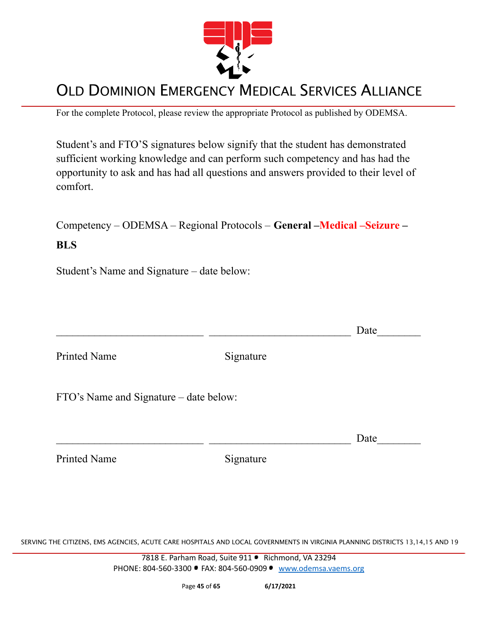

For the complete Protocol, please review the appropriate Protocol as published by ODEMSA.

Student's and FTO'S signatures below signify that the student has demonstrated sufficient working knowledge and can perform such competency and has had the opportunity to ask and has had all questions and answers provided to their level of comfort.

Competency – ODEMSA – Regional Protocols – **General –Medical –Seizure –**

#### **BLS**

Student's Name and Signature – date below:

|                                        |           | Date |
|----------------------------------------|-----------|------|
| <b>Printed Name</b>                    | Signature |      |
| FTO's Name and Signature – date below: |           |      |
|                                        |           | Date |
| <b>Printed Name</b>                    | Signature |      |

SERVING THE CITIZENS, EMS AGENCIES, ACUTE CARE HOSPITALS AND LOCAL GOVERNMENTS IN VIRGINIA PLANNING DISTRICTS 13,14,15 AND 19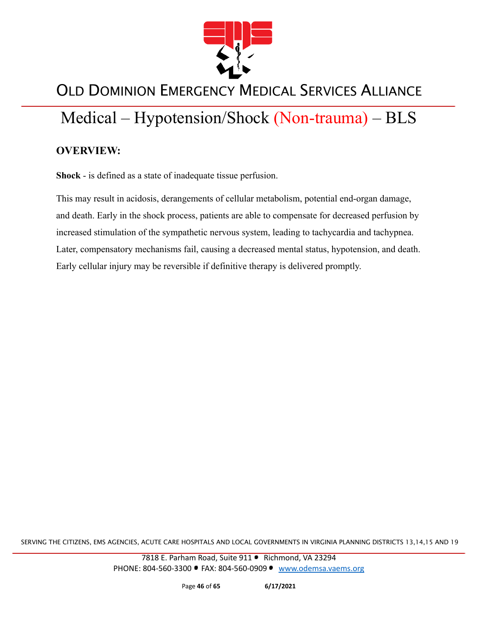

# Medical – Hypotension/Shock (Non-trauma) – BLS

#### **OVERVIEW:**

**Shock** - is defined as a state of inadequate tissue perfusion.

This may result in acidosis, derangements of cellular metabolism, potential end-organ damage, and death. Early in the shock process, patients are able to compensate for decreased perfusion by increased stimulation of the sympathetic nervous system, leading to tachycardia and tachypnea. Later, compensatory mechanisms fail, causing a decreased mental status, hypotension, and death. Early cellular injury may be reversible if definitive therapy is delivered promptly.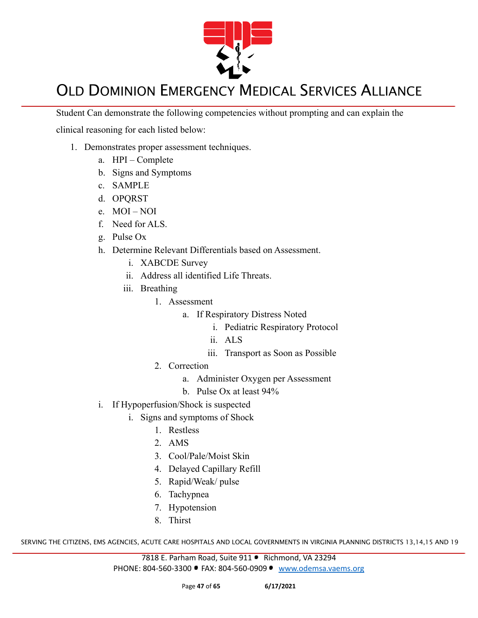

Student Can demonstrate the following competencies without prompting and can explain the

clinical reasoning for each listed below:

- 1. Demonstrates proper assessment techniques.
	- a. HPI Complete
	- b. Signs and Symptoms
	- c. SAMPLE
	- d. OPQRST
	- e. MOI NOI
	- f. Need for ALS.
	- g. Pulse Ox
	- h. Determine Relevant Differentials based on Assessment.
		- i. XABCDE Survey
		- ii. Address all identified Life Threats.
		- iii. Breathing
			- 1. Assessment
				- a. If Respiratory Distress Noted
					- i. Pediatric Respiratory Protocol
					- ii. ALS
					- iii. Transport as Soon as Possible
			- 2. Correction
				- a. Administer Oxygen per Assessment
				- b. Pulse Ox at least 94%
	- i. If Hypoperfusion/Shock is suspected
		- i. Signs and symptoms of Shock
			- 1. Restless
			- 2. AMS
			- 3. Cool/Pale/Moist Skin
			- 4. Delayed Capillary Refill
			- 5. Rapid/Weak/ pulse
			- 6. Tachypnea
			- 7. Hypotension
			- 8. Thirst

SERVING THE CITIZENS, EMS AGENCIES, ACUTE CARE HOSPITALS AND LOCAL GOVERNMENTS IN VIRGINIA PLANNING DISTRICTS 13,14,15 AND 19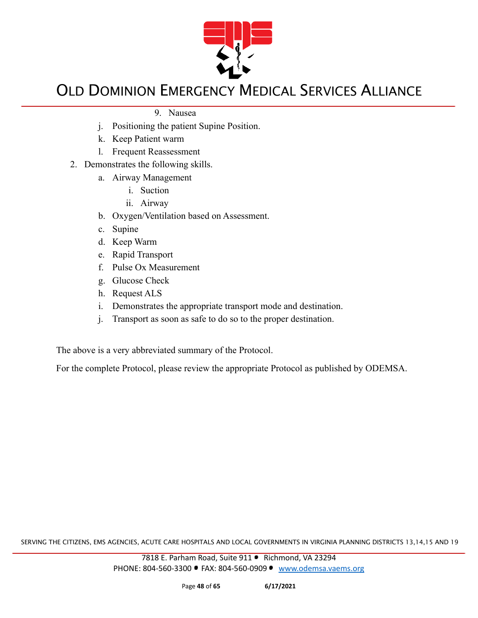

9. Nausea

- j. Positioning the patient Supine Position.
- k. Keep Patient warm
- l. Frequent Reassessment
- 2. Demonstrates the following skills.
	- a. Airway Management
		- i. Suction
		- ii. Airway
	- b. Oxygen/Ventilation based on Assessment.
	- c. Supine
	- d. Keep Warm
	- e. Rapid Transport
	- f. Pulse Ox Measurement
	- g. Glucose Check
	- h. Request ALS
	- i. Demonstrates the appropriate transport mode and destination.
	- j. Transport as soon as safe to do so to the proper destination.

The above is a very abbreviated summary of the Protocol.

For the complete Protocol, please review the appropriate Protocol as published by ODEMSA.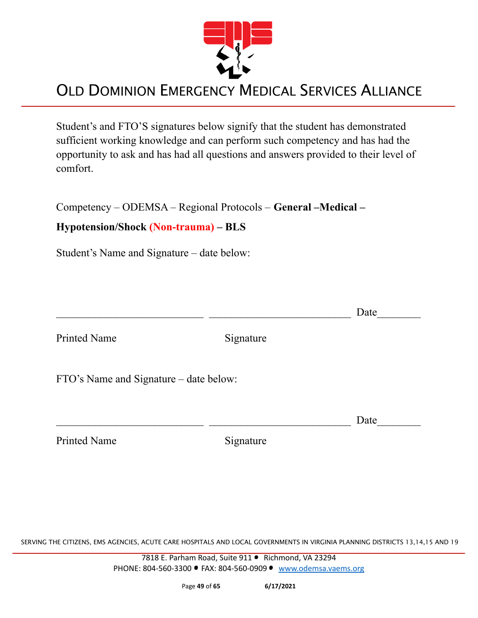

Student's and FTO'S signatures below signify that the student has demonstrated sufficient working knowledge and can perform such competency and has had the opportunity to ask and has had all questions and answers provided to their level of comfort.

Competency – ODEMSA – Regional Protocols – **General –Medical –**

#### **Hypotension/Shock (Non-trauma) – BLS**

Student's Name and Signature – date below:

|                                        |           | Date |
|----------------------------------------|-----------|------|
| <b>Printed Name</b>                    | Signature |      |
| FTO's Name and Signature – date below: |           |      |
|                                        |           | Date |
| <b>Printed Name</b>                    | Signature |      |

SERVING THE CITIZENS, EMS AGENCIES, ACUTE CARE HOSPITALS AND LOCAL GOVERNMENTS IN VIRGINIA PLANNING DISTRICTS 13,14,15 AND 19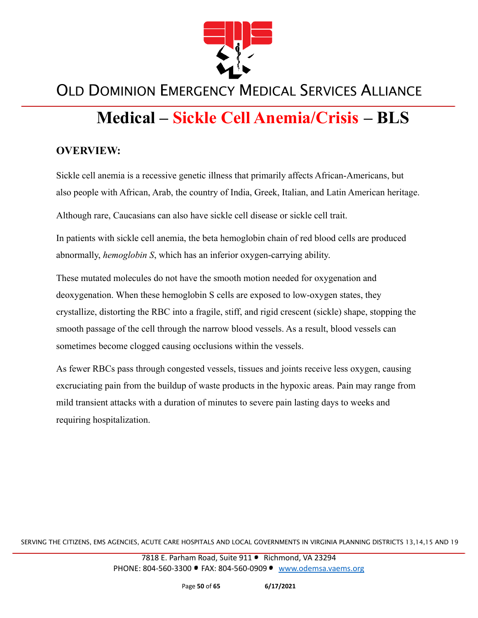

# **Medical – Sickle Cell Anemia/Crisis – BLS**

#### **OVERVIEW:**

Sickle cell anemia is a recessive genetic illness that primarily affects African-Americans, but also people with African, Arab, the country of India, Greek, Italian, and Latin American heritage.

Although rare, Caucasians can also have sickle cell disease or sickle cell trait.

In patients with sickle cell anemia, the beta hemoglobin chain of red blood cells are produced abnormally, *hemoglobin S*, which has an inferior oxygen-carrying ability.

These mutated molecules do not have the smooth motion needed for oxygenation and deoxygenation. When these hemoglobin S cells are exposed to low-oxygen states, they crystallize, distorting the RBC into a fragile, stiff, and rigid crescent (sickle) shape, stopping the smooth passage of the cell through the narrow blood vessels. As a result, blood vessels can sometimes become clogged causing occlusions within the vessels.

As fewer RBCs pass through congested vessels, tissues and joints receive less oxygen, causing excruciating pain from the buildup of waste products in the hypoxic areas. Pain may range from mild transient attacks with a duration of minutes to severe pain lasting days to weeks and requiring hospitalization.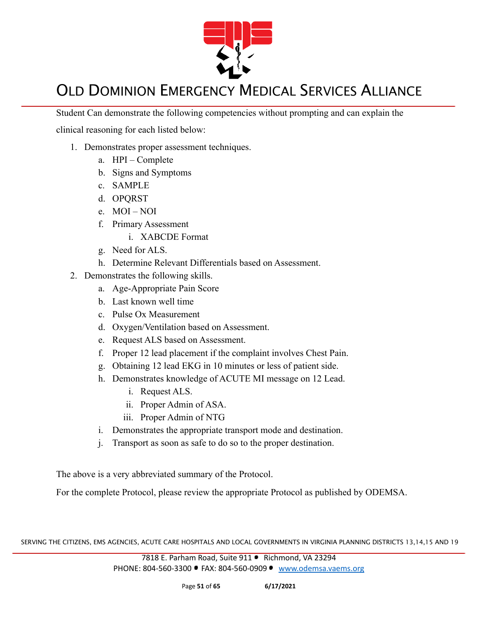

Student Can demonstrate the following competencies without prompting and can explain the

clinical reasoning for each listed below:

- 1. Demonstrates proper assessment techniques.
	- a. HPI Complete
	- b. Signs and Symptoms
	- c. SAMPLE
	- d. OPQRST
	- e. MOI NOI
	- f. Primary Assessment
		- i. XABCDE Format
	- g. Need for ALS.
	- h. Determine Relevant Differentials based on Assessment.
- 2. Demonstrates the following skills.
	- a. Age-Appropriate Pain Score
	- b. Last known well time
	- c. Pulse Ox Measurement
	- d. Oxygen/Ventilation based on Assessment.
	- e. Request ALS based on Assessment.
	- f. Proper 12 lead placement if the complaint involves Chest Pain.
	- g. Obtaining 12 lead EKG in 10 minutes or less of patient side.
	- h. Demonstrates knowledge of ACUTE MI message on 12 Lead.
		- i. Request ALS.
		- ii. Proper Admin of ASA.
		- iii. Proper Admin of NTG
	- i. Demonstrates the appropriate transport mode and destination.
	- j. Transport as soon as safe to do so to the proper destination.

The above is a very abbreviated summary of the Protocol.

For the complete Protocol, please review the appropriate Protocol as published by ODEMSA.

SERVING THE CITIZENS, EMS AGENCIES, ACUTE CARE HOSPITALS AND LOCAL GOVERNMENTS IN VIRGINIA PLANNING DISTRICTS 13,14,15 AND 19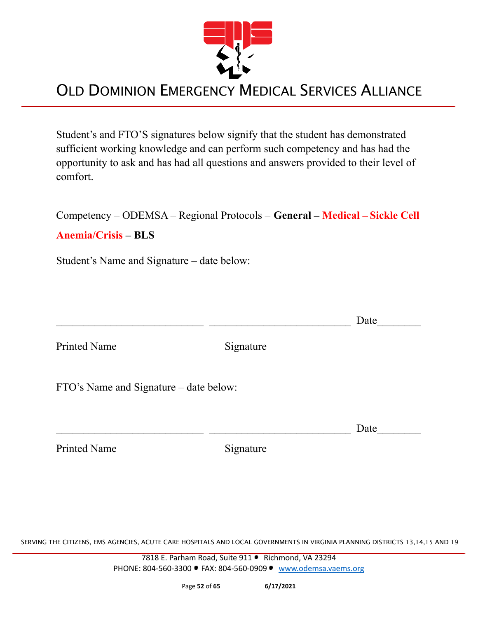

Student's and FTO'S signatures below signify that the student has demonstrated sufficient working knowledge and can perform such competency and has had the opportunity to ask and has had all questions and answers provided to their level of comfort.

Competency – ODEMSA – Regional Protocols – **General – Medical – Sickle Cell**

| <b>Anemia/Crisis – BLS</b> |  |  |
|----------------------------|--|--|
|----------------------------|--|--|

Student's Name and Signature – date below:

|                                        |           | Date |
|----------------------------------------|-----------|------|
| <b>Printed Name</b>                    | Signature |      |
| FTO's Name and Signature – date below: |           |      |
|                                        |           | Date |
| <b>Printed Name</b>                    | Signature |      |

SERVING THE CITIZENS, EMS AGENCIES, ACUTE CARE HOSPITALS AND LOCAL GOVERNMENTS IN VIRGINIA PLANNING DISTRICTS 13,14,15 AND 19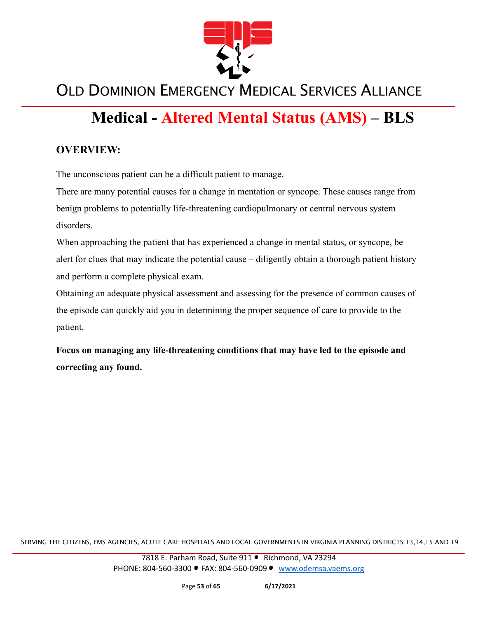

# **Medical - Altered Mental Status (AMS) – BLS**

#### **OVERVIEW:**

The unconscious patient can be a difficult patient to manage.

There are many potential causes for a change in mentation or syncope. These causes range from benign problems to potentially life-threatening cardiopulmonary or central nervous system disorders.

When approaching the patient that has experienced a change in mental status, or syncope, be alert for clues that may indicate the potential cause – diligently obtain a thorough patient history and perform a complete physical exam.

Obtaining an adequate physical assessment and assessing for the presence of common causes of the episode can quickly aid you in determining the proper sequence of care to provide to the patient.

**Focus on managing any life-threatening conditions that may have led to the episode and correcting any found.**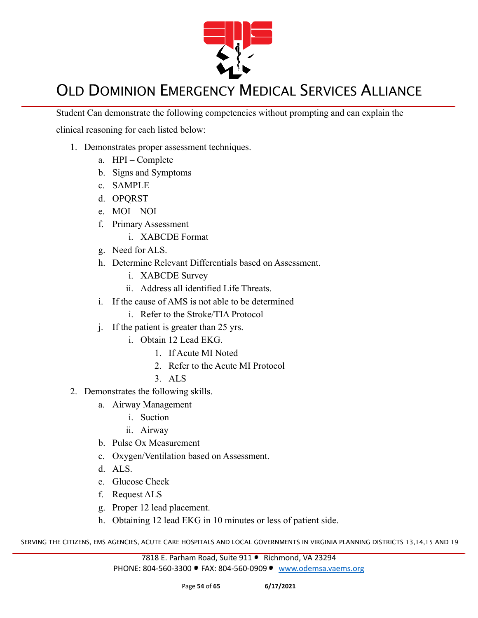

Student Can demonstrate the following competencies without prompting and can explain the

clinical reasoning for each listed below:

- 1. Demonstrates proper assessment techniques.
	- a. HPI Complete
	- b. Signs and Symptoms
	- c. SAMPLE
	- d. OPQRST
	- e. MOI NOI
	- f. Primary Assessment
		- i. XABCDE Format
	- g. Need for ALS.
	- h. Determine Relevant Differentials based on Assessment.
		- i. XABCDE Survey
		- ii. Address all identified Life Threats.
	- i. If the cause of AMS is not able to be determined
		- i. Refer to the Stroke/TIA Protocol
	- j. If the patient is greater than 25 yrs.
		- i. Obtain 12 Lead EKG.
			- 1. If Acute MI Noted
			- 2. Refer to the Acute MI Protocol
			- 3. ALS
- 2. Demonstrates the following skills.
	- a. Airway Management
		- i. Suction
		- ii. Airway
	- b. Pulse Ox Measurement
	- c. Oxygen/Ventilation based on Assessment.
	- d. ALS.
	- e. Glucose Check
	- f. Request ALS
	- g. Proper 12 lead placement.
	- h. Obtaining 12 lead EKG in 10 minutes or less of patient side.

SERVING THE CITIZENS, EMS AGENCIES, ACUTE CARE HOSPITALS AND LOCAL GOVERNMENTS IN VIRGINIA PLANNING DISTRICTS 13,14,15 AND 19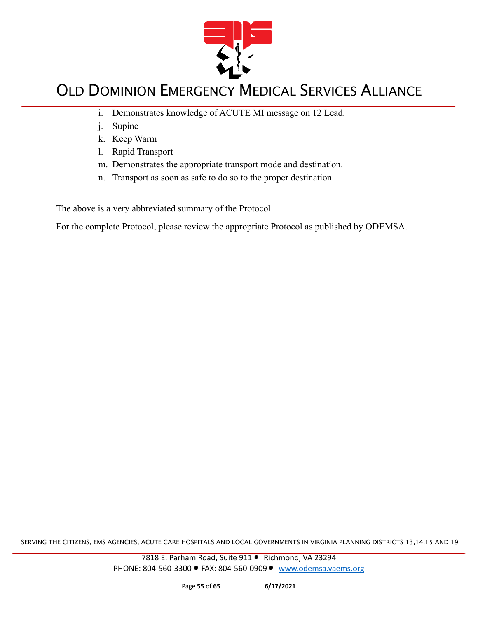

- i. Demonstrates knowledge of ACUTE MI message on 12 Lead.
- j. Supine
- k. Keep Warm
- l. Rapid Transport
- m. Demonstrates the appropriate transport mode and destination.
- n. Transport as soon as safe to do so to the proper destination.

The above is a very abbreviated summary of the Protocol.

For the complete Protocol, please review the appropriate Protocol as published by ODEMSA.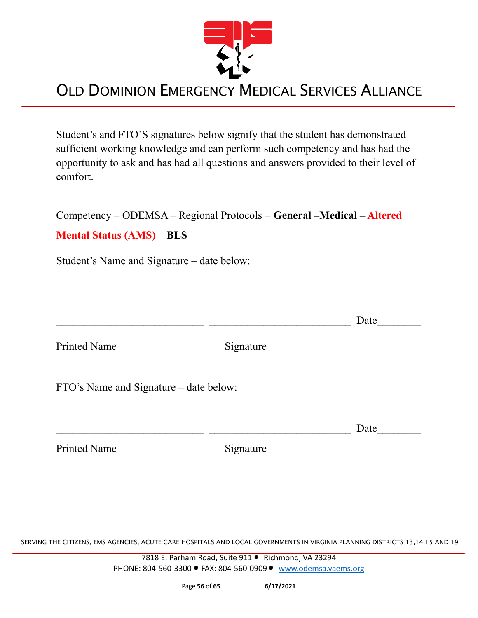

Student's and FTO'S signatures below signify that the student has demonstrated sufficient working knowledge and can perform such competency and has had the opportunity to ask and has had all questions and answers provided to their level of comfort.

Competency – ODEMSA – Regional Protocols – **General –Medical – Altered**

#### **Mental Status (AMS) – BLS**

Student's Name and Signature – date below:

|                                        |           | Date |
|----------------------------------------|-----------|------|
| <b>Printed Name</b>                    | Signature |      |
| FTO's Name and Signature – date below: |           |      |
|                                        |           | Date |
| <b>Printed Name</b>                    | Signature |      |

SERVING THE CITIZENS, EMS AGENCIES, ACUTE CARE HOSPITALS AND LOCAL GOVERNMENTS IN VIRGINIA PLANNING DISTRICTS 13,14,15 AND 19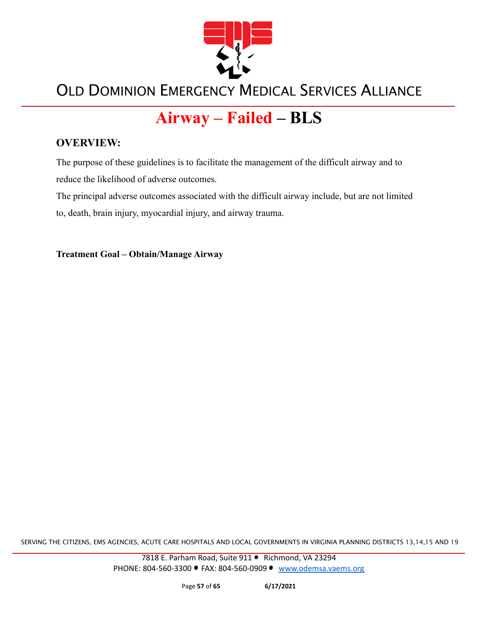

# **Airway – Failed – BLS**

#### **OVERVIEW:**

The purpose of these guidelines is to facilitate the management of the difficult airway and to reduce the likelihood of adverse outcomes.

The principal adverse outcomes associated with the difficult airway include, but are not limited to, death, brain injury, myocardial injury, and airway trauma.

**Treatment Goal – Obtain/Manage Airway**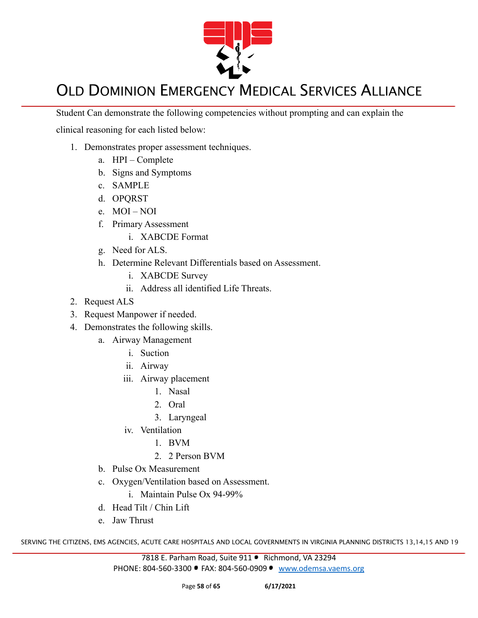

Student Can demonstrate the following competencies without prompting and can explain the

clinical reasoning for each listed below:

- 1. Demonstrates proper assessment techniques.
	- a. HPI Complete
	- b. Signs and Symptoms
	- c. SAMPLE
	- d. OPQRST
	- e. MOI NOI
	- f. Primary Assessment
		- i. XABCDE Format
	- g. Need for ALS.
	- h. Determine Relevant Differentials based on Assessment.
		- i. XABCDE Survey
		- ii. Address all identified Life Threats.
- 2. Request ALS
- 3. Request Manpower if needed.
- 4. Demonstrates the following skills.
	- a. Airway Management
		- i. Suction
		- ii. Airway
		- iii. Airway placement
			- 1. Nasal
			- 2. Oral
			- 3. Laryngeal
		- iv. Ventilation
			- 1. BVM
			- 2. 2 Person BVM
	- b. Pulse Ox Measurement
	- c. Oxygen/Ventilation based on Assessment.
		- i. Maintain Pulse Ox 94-99%
	- d. Head Tilt / Chin Lift
	- e. Jaw Thrust

SERVING THE CITIZENS, EMS AGENCIES, ACUTE CARE HOSPITALS AND LOCAL GOVERNMENTS IN VIRGINIA PLANNING DISTRICTS 13,14,15 AND 19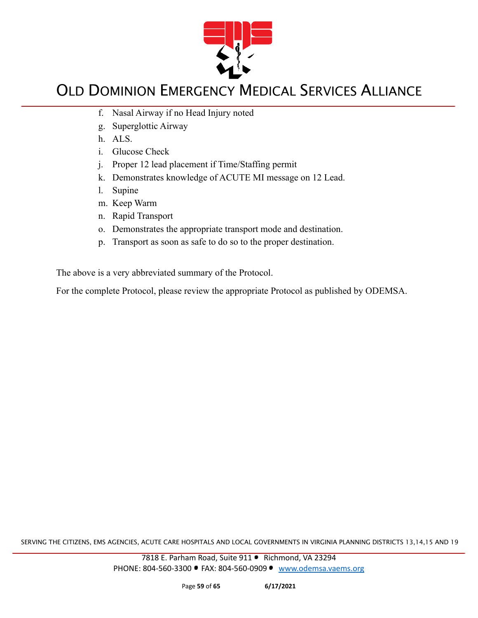

- f. Nasal Airway if no Head Injury noted
- g. Superglottic Airway
- h. ALS.
- i. Glucose Check
- j. Proper 12 lead placement if Time/Staffing permit
- k. Demonstrates knowledge of ACUTE MI message on 12 Lead.
- l. Supine
- m. Keep Warm
- n. Rapid Transport
- o. Demonstrates the appropriate transport mode and destination.
- p. Transport as soon as safe to do so to the proper destination.

The above is a very abbreviated summary of the Protocol.

For the complete Protocol, please review the appropriate Protocol as published by ODEMSA.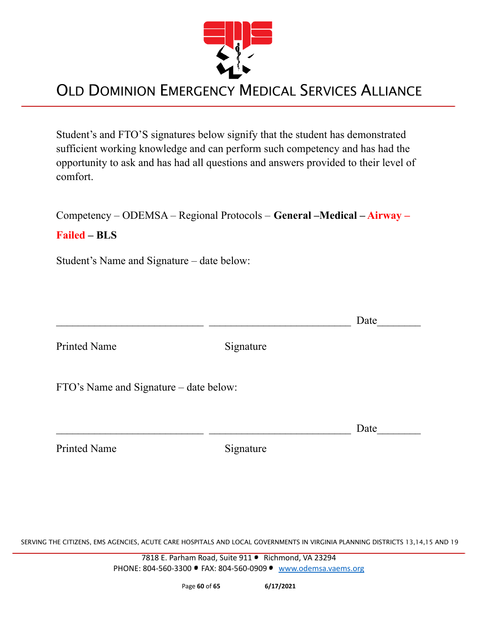

Student's and FTO'S signatures below signify that the student has demonstrated sufficient working knowledge and can perform such competency and has had the opportunity to ask and has had all questions and answers provided to their level of comfort.

Competency – ODEMSA – Regional Protocols – **General –Medical – Airway –**

#### **Failed – BLS**

Student's Name and Signature – date below:

|                                        |           | Date |
|----------------------------------------|-----------|------|
| <b>Printed Name</b>                    | Signature |      |
| FTO's Name and Signature – date below: |           |      |
|                                        |           | Date |

Printed Name Signature

SERVING THE CITIZENS, EMS AGENCIES, ACUTE CARE HOSPITALS AND LOCAL GOVERNMENTS IN VIRGINIA PLANNING DISTRICTS 13,14,15 AND 19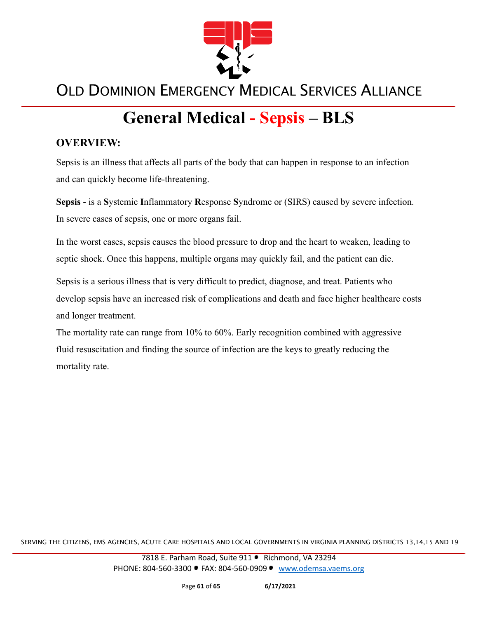

# **General Medical - Sepsis – BLS**

#### **OVERVIEW:**

Sepsis is an illness that affects all parts of the body that can happen in response to an infection and can quickly become life-threatening.

**Sepsis** - is a **S**ystemic **I**nflammatory **R**esponse **S**yndrome or (SIRS) caused by severe infection. In severe cases of sepsis, one or more organs fail.

In the worst cases, sepsis causes the blood pressure to drop and the heart to weaken, leading to septic shock. Once this happens, multiple organs may quickly fail, and the patient can die.

Sepsis is a serious illness that is very difficult to predict, diagnose, and treat. Patients who develop sepsis have an increased risk of complications and death and face higher healthcare costs and longer treatment.

The mortality rate can range from 10% to 60%. Early recognition combined with aggressive fluid resuscitation and finding the source of infection are the keys to greatly reducing the mortality rate.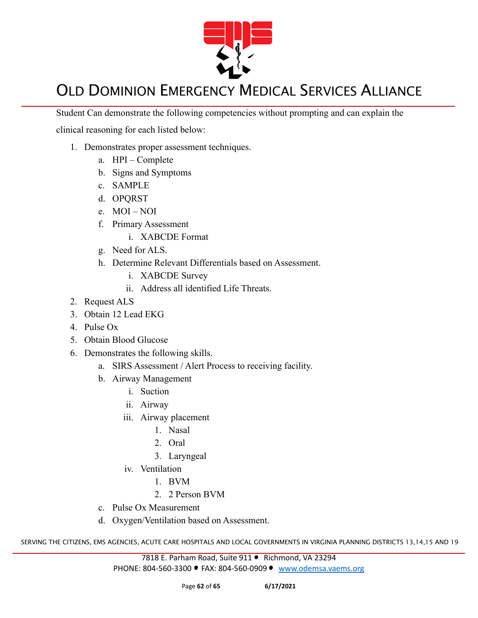

Student Can demonstrate the following competencies without prompting and can explain the

clinical reasoning for each listed below:

- 1. Demonstrates proper assessment techniques.
	- a. HPI Complete
	- b. Signs and Symptoms
	- c. SAMPLE
	- d. OPQRST
	- e. MOI NOI
	- f. Primary Assessment
		- i. XABCDE Format
	- g. Need for ALS.
	- h. Determine Relevant Differentials based on Assessment.
		- i. XABCDE Survey
		- ii. Address all identified Life Threats.
- 2. Request ALS
- 3. Obtain 12 Lead EKG
- 4. Pulse Ox
- 5. Obtain Blood Glucose
- 6. Demonstrates the following skills.
	- a. SIRS Assessment / Alert Process to receiving facility.
	- b. Airway Management
		- i. Suction
		- ii. Airway
		- iii. Airway placement
			- 1. Nasal
			- 2. Oral
			- 3. Laryngeal
		- iv. Ventilation
			- 1. BVM
			- 2. 2 Person BVM
	- c. Pulse Ox Measurement
	- d. Oxygen/Ventilation based on Assessment.

SERVING THE CITIZENS, EMS AGENCIES, ACUTE CARE HOSPITALS AND LOCAL GOVERNMENTS IN VIRGINIA PLANNING DISTRICTS 13,14,15 AND 19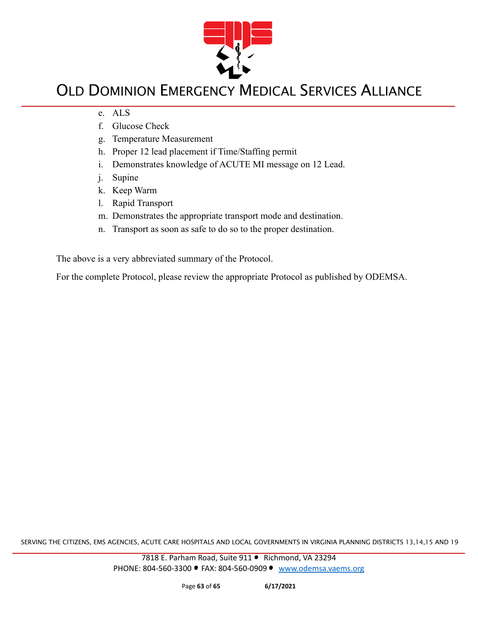

- e. ALS
- f. Glucose Check
- g. Temperature Measurement
- h. Proper 12 lead placement if Time/Staffing permit
- i. Demonstrates knowledge of ACUTE MI message on 12 Lead.
- j. Supine
- k. Keep Warm
- l. Rapid Transport
- m. Demonstrates the appropriate transport mode and destination.
- n. Transport as soon as safe to do so to the proper destination.

The above is a very abbreviated summary of the Protocol.

For the complete Protocol, please review the appropriate Protocol as published by ODEMSA.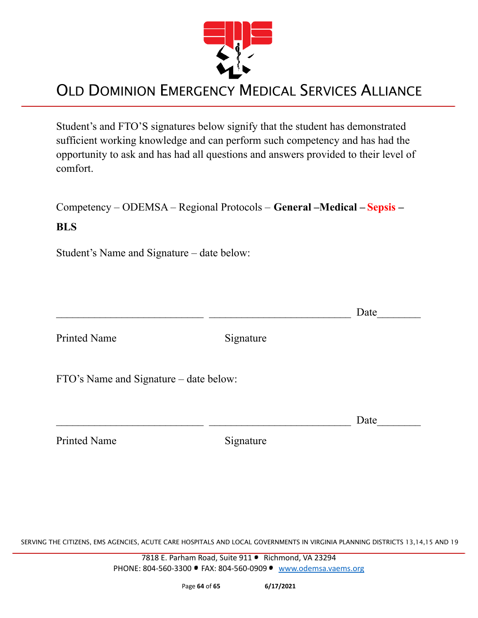

Student's and FTO'S signatures below signify that the student has demonstrated sufficient working knowledge and can perform such competency and has had the opportunity to ask and has had all questions and answers provided to their level of comfort.

Competency – ODEMSA – Regional Protocols – **General –Medical – Sepsis –**

#### **BLS**

Student's Name and Signature – date below:

|                                        |           | Date |
|----------------------------------------|-----------|------|
| <b>Printed Name</b>                    | Signature |      |
| FTO's Name and Signature - date below: |           |      |
|                                        |           | Date |
| <b>Printed Name</b>                    | Signature |      |

SERVING THE CITIZENS, EMS AGENCIES, ACUTE CARE HOSPITALS AND LOCAL GOVERNMENTS IN VIRGINIA PLANNING DISTRICTS 13,14,15 AND 19